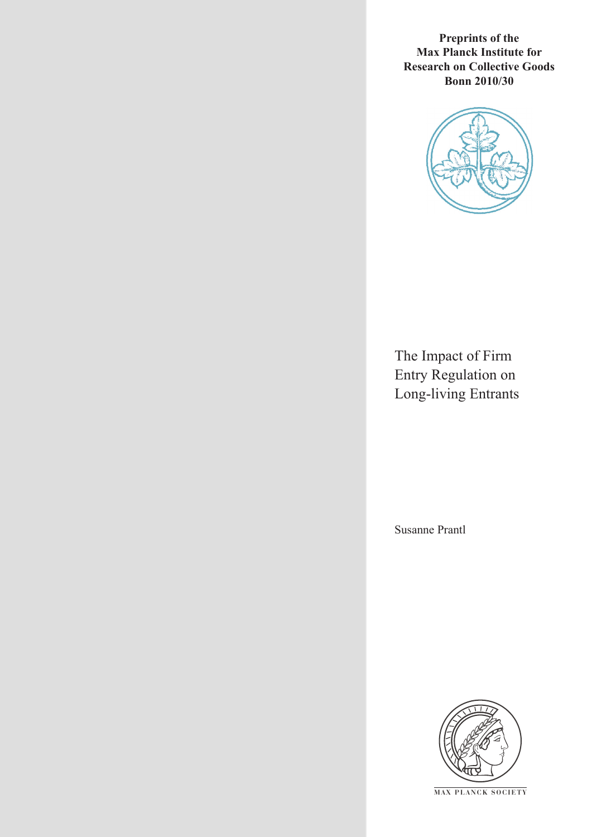**Preprints of the Max Planck Institute for Research on Collective Goods Bonn 2010/30**



The Impact of Firm Entry Regulation on Long-living Entrants

Susanne Prantl



**M AX P L A N C K S O C I E T Y**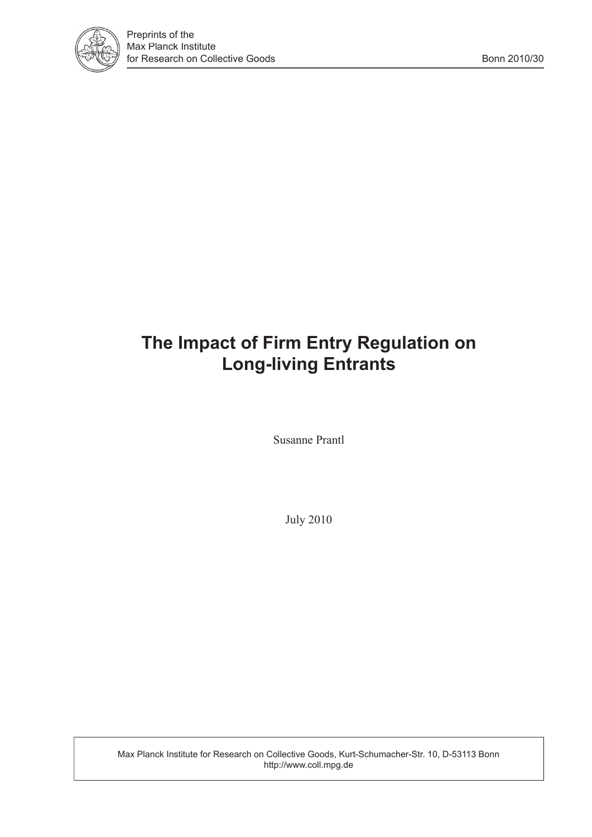

# **The Impact of Firm Entry Regulation on Long-living Entrants**

Susanne Prantl

July 2010

Max Planck Institute for Research on Collective Goods, Kurt-Schumacher-Str. 10, D-53113 Bonn http://www.coll.mpg.de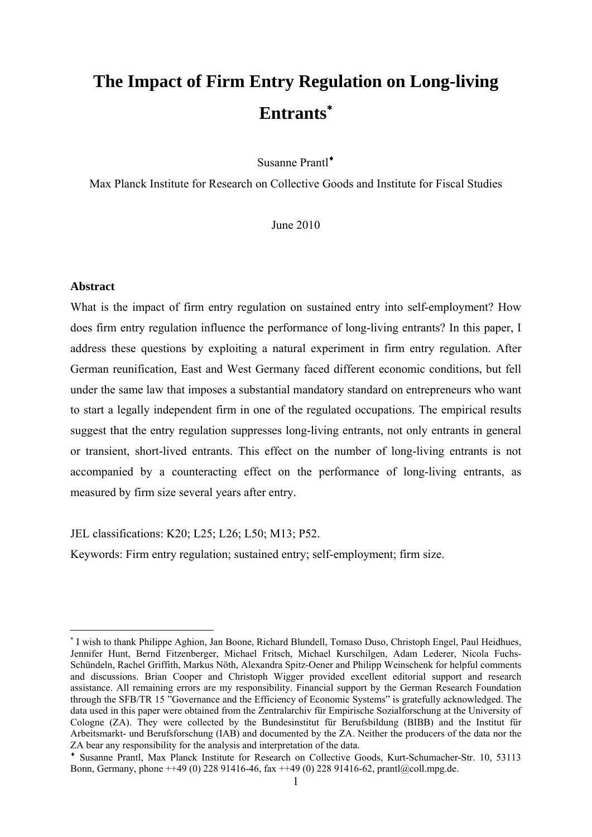# **The Impact of Firm Entry Regulation on Long-living Entrants**

Susanne Prantl

Max Planck Institute for Research on Collective Goods and Institute for Fiscal Studies

June 2010

#### **Abstract**

1

What is the impact of firm entry regulation on sustained entry into self-employment? How does firm entry regulation influence the performance of long-living entrants? In this paper, I address these questions by exploiting a natural experiment in firm entry regulation. After German reunification, East and West Germany faced different economic conditions, but fell under the same law that imposes a substantial mandatory standard on entrepreneurs who want to start a legally independent firm in one of the regulated occupations. The empirical results suggest that the entry regulation suppresses long-living entrants, not only entrants in general or transient, short-lived entrants. This effect on the number of long-living entrants is not accompanied by a counteracting effect on the performance of long-living entrants, as measured by firm size several years after entry.

JEL classifications: K20; L25; L26; L50; M13; P52.

Keywords: Firm entry regulation; sustained entry; self-employment; firm size.

 I wish to thank Philippe Aghion, Jan Boone, Richard Blundell, Tomaso Duso, Christoph Engel, Paul Heidhues, Jennifer Hunt, Bernd Fitzenberger, Michael Fritsch, Michael Kurschilgen, Adam Lederer, Nicola Fuchs-Schündeln, Rachel Griffith, Markus Nöth, Alexandra Spitz-Oener and Philipp Weinschenk for helpful comments and discussions. Brian Cooper and Christoph Wigger provided excellent editorial support and research assistance. All remaining errors are my responsibility. Financial support by the German Research Foundation through the SFB/TR 15 "Governance and the Efficiency of Economic Systems" is gratefully acknowledged. The data used in this paper were obtained from the Zentralarchiv für Empirische Sozialforschung at the University of Cologne (ZA). They were collected by the Bundesinstitut für Berufsbildung (BIBB) and the Institut für Arbeitsmarkt- und Berufsforschung (IAB) and documented by the ZA. Neither the producers of the data nor the ZA bear any responsibility for the analysis and interpretation of the data.

Susanne Prantl, Max Planck Institute for Research on Collective Goods, Kurt-Schumacher-Str. 10, 53113 Bonn, Germany, phone ++49 (0) 228 91416-46, fax ++49 (0) 228 91416-62, prantl@coll.mpg.de.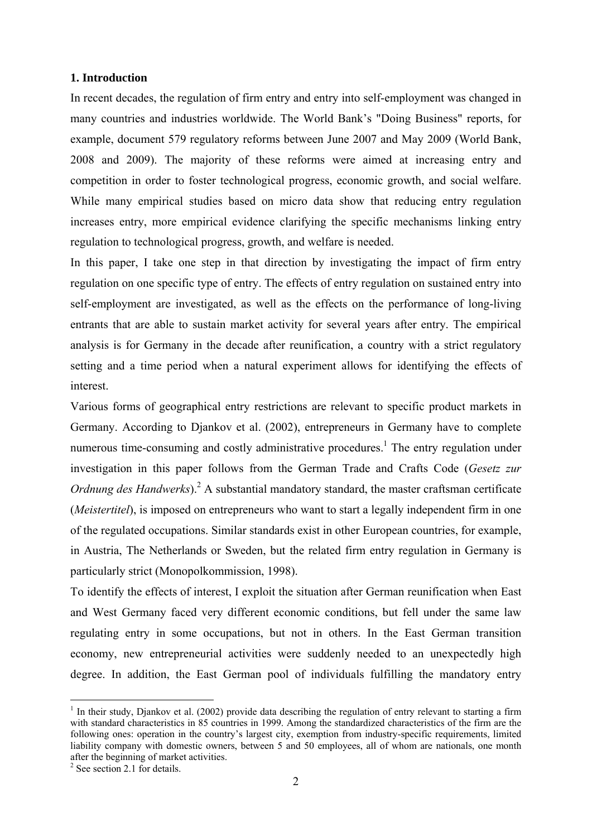#### **1. Introduction**

In recent decades, the regulation of firm entry and entry into self-employment was changed in many countries and industries worldwide. The World Bank's "Doing Business" reports, for example, document 579 regulatory reforms between June 2007 and May 2009 (World Bank, 2008 and 2009). The majority of these reforms were aimed at increasing entry and competition in order to foster technological progress, economic growth, and social welfare. While many empirical studies based on micro data show that reducing entry regulation increases entry, more empirical evidence clarifying the specific mechanisms linking entry regulation to technological progress, growth, and welfare is needed.

In this paper, I take one step in that direction by investigating the impact of firm entry regulation on one specific type of entry. The effects of entry regulation on sustained entry into self-employment are investigated, as well as the effects on the performance of long-living entrants that are able to sustain market activity for several years after entry. The empirical analysis is for Germany in the decade after reunification, a country with a strict regulatory setting and a time period when a natural experiment allows for identifying the effects of interest.

Various forms of geographical entry restrictions are relevant to specific product markets in Germany. According to Djankov et al. (2002), entrepreneurs in Germany have to complete numerous time-consuming and costly administrative procedures.<sup>1</sup> The entry regulation under investigation in this paper follows from the German Trade and Crafts Code (*Gesetz zur*  Ordnung des Handwerks).<sup>2</sup> A substantial mandatory standard, the master craftsman certificate (*Meistertitel*), is imposed on entrepreneurs who want to start a legally independent firm in one of the regulated occupations. Similar standards exist in other European countries, for example, in Austria, The Netherlands or Sweden, but the related firm entry regulation in Germany is particularly strict (Monopolkommission, 1998).

To identify the effects of interest, I exploit the situation after German reunification when East and West Germany faced very different economic conditions, but fell under the same law regulating entry in some occupations, but not in others. In the East German transition economy, new entrepreneurial activities were suddenly needed to an unexpectedly high degree. In addition, the East German pool of individuals fulfilling the mandatory entry

1

 $<sup>1</sup>$  In their study, Djankov et al. (2002) provide data describing the regulation of entry relevant to starting a firm</sup> with standard characteristics in 85 countries in 1999. Among the standardized characteristics of the firm are the following ones: operation in the country's largest city, exemption from industry-specific requirements, limited liability company with domestic owners, between 5 and 50 employees, all of whom are nationals, one month after the beginning of market activities.

<sup>2</sup> See section 2.1 for details.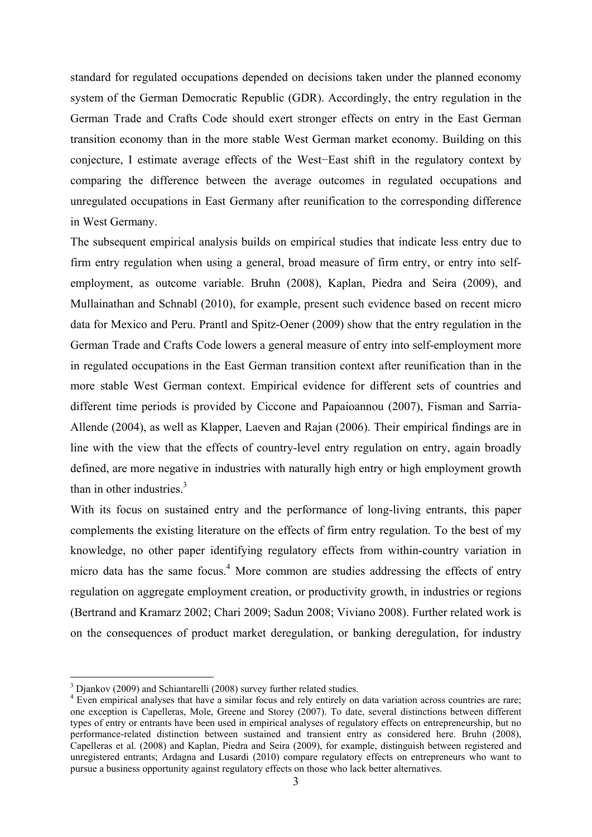standard for regulated occupations depended on decisions taken under the planned economy system of the German Democratic Republic (GDR). Accordingly, the entry regulation in the German Trade and Crafts Code should exert stronger effects on entry in the East German transition economy than in the more stable West German market economy. Building on this conjecture, I estimate average effects of the West−East shift in the regulatory context by comparing the difference between the average outcomes in regulated occupations and unregulated occupations in East Germany after reunification to the corresponding difference in West Germany.

The subsequent empirical analysis builds on empirical studies that indicate less entry due to firm entry regulation when using a general, broad measure of firm entry, or entry into selfemployment, as outcome variable. Bruhn (2008), Kaplan, Piedra and Seira (2009), and Mullainathan and Schnabl (2010), for example, present such evidence based on recent micro data for Mexico and Peru. Prantl and Spitz-Oener (2009) show that the entry regulation in the German Trade and Crafts Code lowers a general measure of entry into self-employment more in regulated occupations in the East German transition context after reunification than in the more stable West German context. Empirical evidence for different sets of countries and different time periods is provided by Ciccone and Papaioannou (2007), Fisman and Sarria-Allende (2004), as well as Klapper, Laeven and Rajan (2006). Their empirical findings are in line with the view that the effects of country-level entry regulation on entry, again broadly defined, are more negative in industries with naturally high entry or high employment growth than in other industries  $3$ 

With its focus on sustained entry and the performance of long-living entrants, this paper complements the existing literature on the effects of firm entry regulation. To the best of my knowledge, no other paper identifying regulatory effects from within-country variation in micro data has the same focus.<sup>4</sup> More common are studies addressing the effects of entry regulation on aggregate employment creation, or productivity growth, in industries or regions (Bertrand and Kramarz 2002; Chari 2009; Sadun 2008; Viviano 2008). Further related work is on the consequences of product market deregulation, or banking deregulation, for industry

<u>.</u>

<sup>&</sup>lt;sup>3</sup> Djankov (2009) and Schiantarelli (2008) survey further related studies.

<sup>&</sup>lt;sup>4</sup> Even empirical analyses that have a similar focus and rely entirely on data variation across countries are rare; one exception is Capelleras, Mole, Greene and Storey (2007). To date, several distinctions between different types of entry or entrants have been used in empirical analyses of regulatory effects on entrepreneurship, but no performance-related distinction between sustained and transient entry as considered here. Bruhn (2008), Capelleras et al. (2008) and Kaplan, Piedra and Seira (2009), for example, distinguish between registered and unregistered entrants; Ardagna and Lusardi (2010) compare regulatory effects on entrepreneurs who want to pursue a business opportunity against regulatory effects on those who lack better alternatives.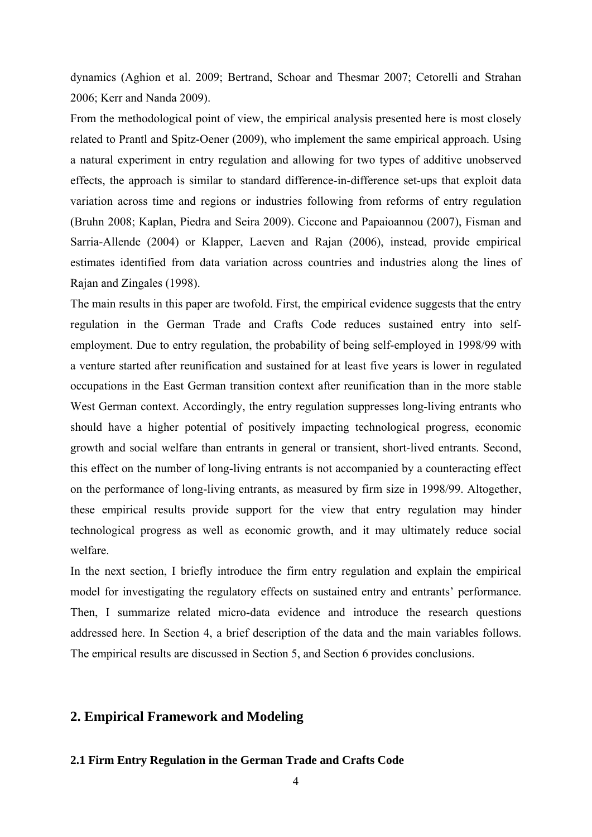dynamics (Aghion et al. 2009; Bertrand, Schoar and Thesmar 2007; Cetorelli and Strahan 2006; Kerr and Nanda 2009).

From the methodological point of view, the empirical analysis presented here is most closely related to Prantl and Spitz-Oener (2009), who implement the same empirical approach. Using a natural experiment in entry regulation and allowing for two types of additive unobserved effects, the approach is similar to standard difference-in-difference set-ups that exploit data variation across time and regions or industries following from reforms of entry regulation (Bruhn 2008; Kaplan, Piedra and Seira 2009). Ciccone and Papaioannou (2007), Fisman and Sarria-Allende (2004) or Klapper, Laeven and Rajan (2006), instead, provide empirical estimates identified from data variation across countries and industries along the lines of Rajan and Zingales (1998).

The main results in this paper are twofold. First, the empirical evidence suggests that the entry regulation in the German Trade and Crafts Code reduces sustained entry into selfemployment. Due to entry regulation, the probability of being self-employed in 1998/99 with a venture started after reunification and sustained for at least five years is lower in regulated occupations in the East German transition context after reunification than in the more stable West German context. Accordingly, the entry regulation suppresses long-living entrants who should have a higher potential of positively impacting technological progress, economic growth and social welfare than entrants in general or transient, short-lived entrants. Second, this effect on the number of long-living entrants is not accompanied by a counteracting effect on the performance of long-living entrants, as measured by firm size in 1998/99. Altogether, these empirical results provide support for the view that entry regulation may hinder technological progress as well as economic growth, and it may ultimately reduce social welfare.

In the next section, I briefly introduce the firm entry regulation and explain the empirical model for investigating the regulatory effects on sustained entry and entrants' performance. Then, I summarize related micro-data evidence and introduce the research questions addressed here. In Section 4, a brief description of the data and the main variables follows. The empirical results are discussed in Section 5, and Section 6 provides conclusions.

# **2. Empirical Framework and Modeling**

# **2.1 Firm Entry Regulation in the German Trade and Crafts Code**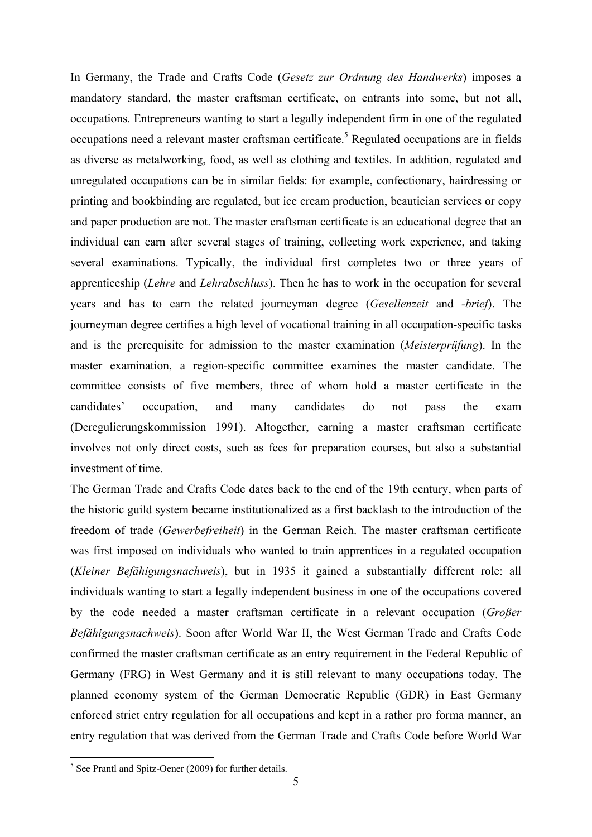In Germany, the Trade and Crafts Code (*Gesetz zur Ordnung des Handwerks*) imposes a mandatory standard, the master craftsman certificate, on entrants into some, but not all, occupations. Entrepreneurs wanting to start a legally independent firm in one of the regulated occupations need a relevant master craftsman certificate.<sup>5</sup> Regulated occupations are in fields as diverse as metalworking, food, as well as clothing and textiles. In addition, regulated and unregulated occupations can be in similar fields: for example, confectionary, hairdressing or printing and bookbinding are regulated, but ice cream production, beautician services or copy and paper production are not. The master craftsman certificate is an educational degree that an individual can earn after several stages of training, collecting work experience, and taking several examinations. Typically, the individual first completes two or three years of apprenticeship (*Lehre* and *Lehrabschluss*). Then he has to work in the occupation for several years and has to earn the related journeyman degree (*Gesellenzeit* and *-brief*). The journeyman degree certifies a high level of vocational training in all occupation-specific tasks and is the prerequisite for admission to the master examination (*Meisterprüfung*). In the master examination, a region-specific committee examines the master candidate. The committee consists of five members, three of whom hold a master certificate in the candidates' occupation, and many candidates do not pass the exam (Deregulierungskommission 1991). Altogether, earning a master craftsman certificate involves not only direct costs, such as fees for preparation courses, but also a substantial investment of time.

The German Trade and Crafts Code dates back to the end of the 19th century, when parts of the historic guild system became institutionalized as a first backlash to the introduction of the freedom of trade (*Gewerbefreiheit*) in the German Reich. The master craftsman certificate was first imposed on individuals who wanted to train apprentices in a regulated occupation (*Kleiner Befähigungsnachweis*), but in 1935 it gained a substantially different role: all individuals wanting to start a legally independent business in one of the occupations covered by the code needed a master craftsman certificate in a relevant occupation (*Großer Befähigungsnachweis*). Soon after World War II, the West German Trade and Crafts Code confirmed the master craftsman certificate as an entry requirement in the Federal Republic of Germany (FRG) in West Germany and it is still relevant to many occupations today. The planned economy system of the German Democratic Republic (GDR) in East Germany enforced strict entry regulation for all occupations and kept in a rather pro forma manner, an entry regulation that was derived from the German Trade and Crafts Code before World War

1

<sup>5</sup> See Prantl and Spitz-Oener (2009) for further details.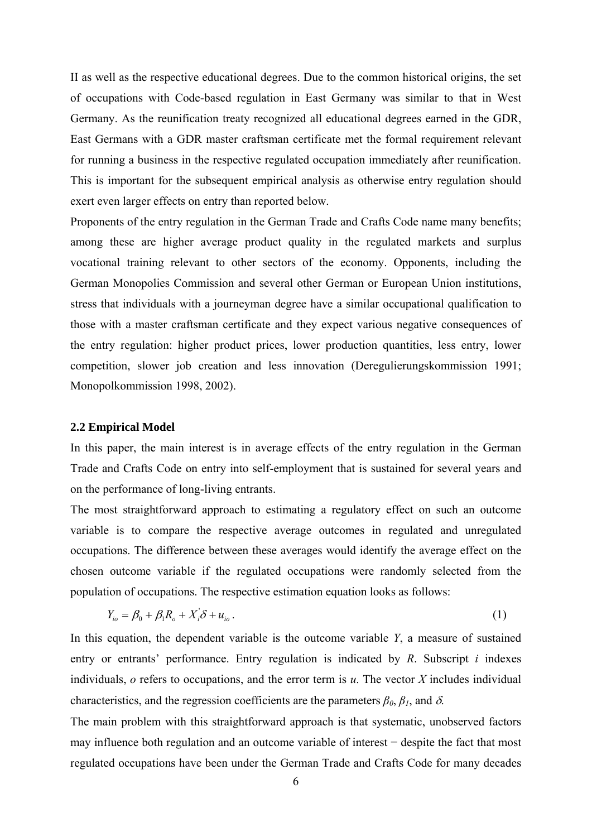II as well as the respective educational degrees. Due to the common historical origins, the set of occupations with Code-based regulation in East Germany was similar to that in West Germany. As the reunification treaty recognized all educational degrees earned in the GDR, East Germans with a GDR master craftsman certificate met the formal requirement relevant for running a business in the respective regulated occupation immediately after reunification. This is important for the subsequent empirical analysis as otherwise entry regulation should exert even larger effects on entry than reported below.

Proponents of the entry regulation in the German Trade and Crafts Code name many benefits; among these are higher average product quality in the regulated markets and surplus vocational training relevant to other sectors of the economy. Opponents, including the German Monopolies Commission and several other German or European Union institutions, stress that individuals with a journeyman degree have a similar occupational qualification to those with a master craftsman certificate and they expect various negative consequences of the entry regulation: higher product prices, lower production quantities, less entry, lower competition, slower job creation and less innovation (Deregulierungskommission 1991; Monopolkommission 1998, 2002).

#### **2.2 Empirical Model**

In this paper, the main interest is in average effects of the entry regulation in the German Trade and Crafts Code on entry into self-employment that is sustained for several years and on the performance of long-living entrants.

The most straightforward approach to estimating a regulatory effect on such an outcome variable is to compare the respective average outcomes in regulated and unregulated occupations. The difference between these averages would identify the average effect on the chosen outcome variable if the regulated occupations were randomly selected from the population of occupations. The respective estimation equation looks as follows:

$$
Y_{io} = \beta_0 + \beta_1 R_o + X_i' \delta + u_{io} \tag{1}
$$

In this equation, the dependent variable is the outcome variable *Y*, a measure of sustained entry or entrants' performance. Entry regulation is indicated by *R*. Subscript *i* indexes individuals, *o* refers to occupations, and the error term is *u*. The vector *X* includes individual characteristics, and the regression coefficients are the parameters  $\beta_0$ ,  $\beta_1$ , and  $\delta$ .

The main problem with this straightforward approach is that systematic, unobserved factors may influence both regulation and an outcome variable of interest − despite the fact that most regulated occupations have been under the German Trade and Crafts Code for many decades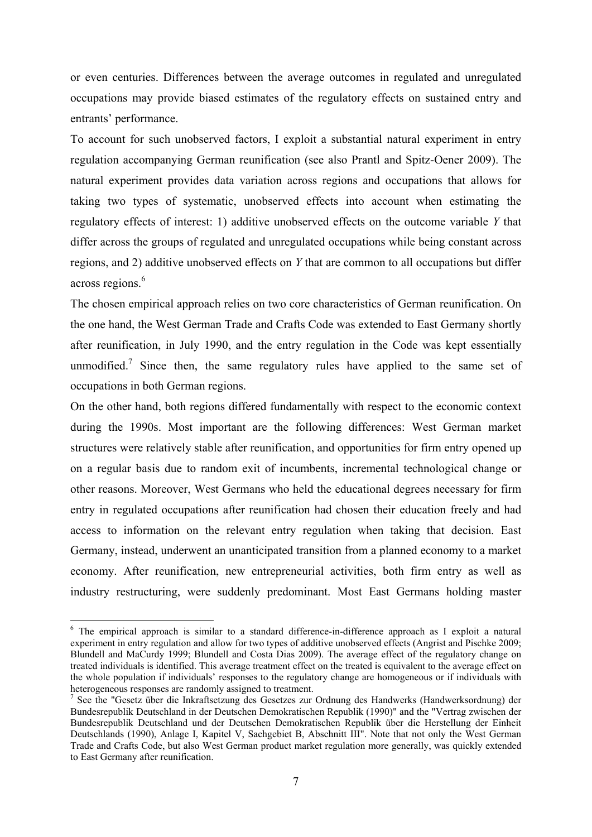or even centuries. Differences between the average outcomes in regulated and unregulated occupations may provide biased estimates of the regulatory effects on sustained entry and entrants' performance.

To account for such unobserved factors, I exploit a substantial natural experiment in entry regulation accompanying German reunification (see also Prantl and Spitz-Oener 2009). The natural experiment provides data variation across regions and occupations that allows for taking two types of systematic, unobserved effects into account when estimating the regulatory effects of interest: 1) additive unobserved effects on the outcome variable *Y* that differ across the groups of regulated and unregulated occupations while being constant across regions, and 2) additive unobserved effects on *Y* that are common to all occupations but differ across regions.<sup>6</sup>

The chosen empirical approach relies on two core characteristics of German reunification. On the one hand, the West German Trade and Crafts Code was extended to East Germany shortly after reunification, in July 1990, and the entry regulation in the Code was kept essentially unmodified.<sup>7</sup> Since then, the same regulatory rules have applied to the same set of occupations in both German regions.

On the other hand, both regions differed fundamentally with respect to the economic context during the 1990s. Most important are the following differences: West German market structures were relatively stable after reunification, and opportunities for firm entry opened up on a regular basis due to random exit of incumbents, incremental technological change or other reasons. Moreover, West Germans who held the educational degrees necessary for firm entry in regulated occupations after reunification had chosen their education freely and had access to information on the relevant entry regulation when taking that decision. East Germany, instead, underwent an unanticipated transition from a planned economy to a market economy. After reunification, new entrepreneurial activities, both firm entry as well as industry restructuring, were suddenly predominant. Most East Germans holding master

1

<sup>&</sup>lt;sup>6</sup> The empirical approach is similar to a standard difference-in-difference approach as I exploit a natural experiment in entry regulation and allow for two types of additive unobserved effects (Angrist and Pischke 2009; Blundell and MaCurdy 1999; Blundell and Costa Dias 2009). The average effect of the regulatory change on treated individuals is identified. This average treatment effect on the treated is equivalent to the average effect on the whole population if individuals' responses to the regulatory change are homogeneous or if individuals with heterogeneous responses are randomly assigned to treatment.

<sup>7</sup> See the "Gesetz über die Inkraftsetzung des Gesetzes zur Ordnung des Handwerks (Handwerksordnung) der Bundesrepublik Deutschland in der Deutschen Demokratischen Republik (1990)" and the "Vertrag zwischen der Bundesrepublik Deutschland und der Deutschen Demokratischen Republik über die Herstellung der Einheit Deutschlands (1990), Anlage I, Kapitel V, Sachgebiet B, Abschnitt III". Note that not only the West German Trade and Crafts Code, but also West German product market regulation more generally, was quickly extended to East Germany after reunification.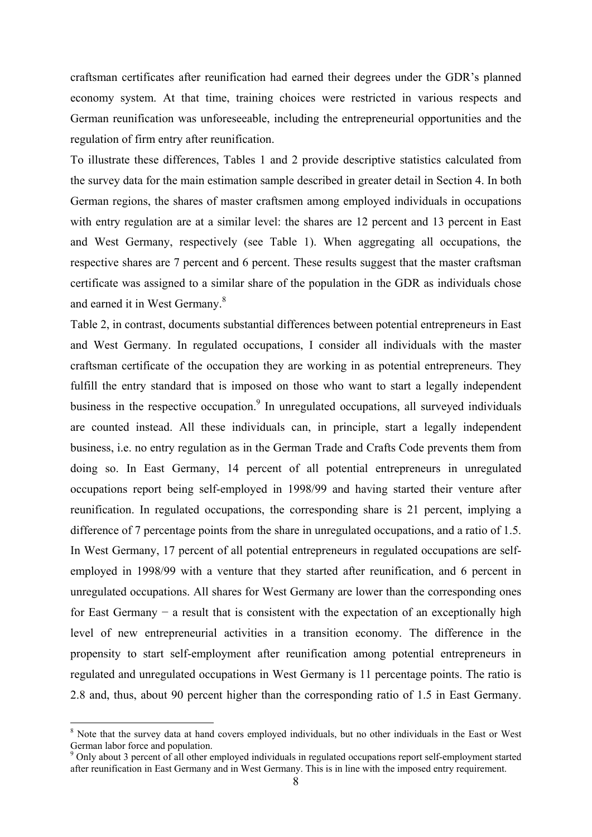craftsman certificates after reunification had earned their degrees under the GDR's planned economy system. At that time, training choices were restricted in various respects and German reunification was unforeseeable, including the entrepreneurial opportunities and the regulation of firm entry after reunification.

To illustrate these differences, Tables 1 and 2 provide descriptive statistics calculated from the survey data for the main estimation sample described in greater detail in Section 4. In both German regions, the shares of master craftsmen among employed individuals in occupations with entry regulation are at a similar level: the shares are 12 percent and 13 percent in East and West Germany, respectively (see Table 1). When aggregating all occupations, the respective shares are 7 percent and 6 percent. These results suggest that the master craftsman certificate was assigned to a similar share of the population in the GDR as individuals chose and earned it in West Germany.<sup>8</sup>

Table 2, in contrast, documents substantial differences between potential entrepreneurs in East and West Germany. In regulated occupations, I consider all individuals with the master craftsman certificate of the occupation they are working in as potential entrepreneurs. They fulfill the entry standard that is imposed on those who want to start a legally independent business in the respective occupation.<sup>9</sup> In unregulated occupations, all surveyed individuals are counted instead. All these individuals can, in principle, start a legally independent business, i.e. no entry regulation as in the German Trade and Crafts Code prevents them from doing so. In East Germany, 14 percent of all potential entrepreneurs in unregulated occupations report being self-employed in 1998/99 and having started their venture after reunification. In regulated occupations, the corresponding share is 21 percent, implying a difference of 7 percentage points from the share in unregulated occupations, and a ratio of 1.5. In West Germany, 17 percent of all potential entrepreneurs in regulated occupations are selfemployed in 1998/99 with a venture that they started after reunification, and 6 percent in unregulated occupations. All shares for West Germany are lower than the corresponding ones for East Germany − a result that is consistent with the expectation of an exceptionally high level of new entrepreneurial activities in a transition economy. The difference in the propensity to start self-employment after reunification among potential entrepreneurs in regulated and unregulated occupations in West Germany is 11 percentage points. The ratio is 2.8 and, thus, about 90 percent higher than the corresponding ratio of 1.5 in East Germany.

1

<sup>&</sup>lt;sup>8</sup> Note that the survey data at hand covers employed individuals, but no other individuals in the East or West German labor force and population.

<sup>&</sup>lt;sup>9</sup> Only about 3 percent of all other employed individuals in regulated occupations report self-employment started after reunification in East Germany and in West Germany. This is in line with the imposed entry requirement.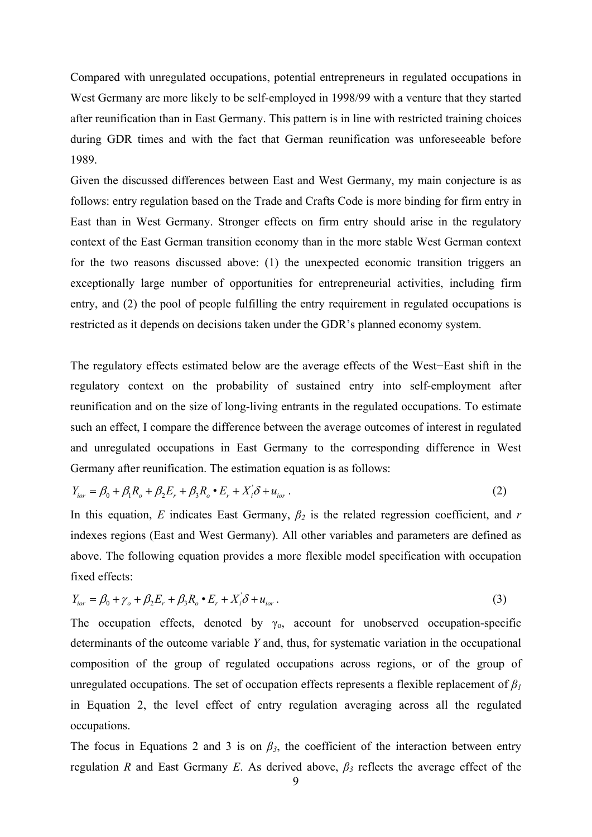Compared with unregulated occupations, potential entrepreneurs in regulated occupations in West Germany are more likely to be self-employed in 1998/99 with a venture that they started after reunification than in East Germany. This pattern is in line with restricted training choices during GDR times and with the fact that German reunification was unforeseeable before 1989.

Given the discussed differences between East and West Germany, my main conjecture is as follows: entry regulation based on the Trade and Crafts Code is more binding for firm entry in East than in West Germany. Stronger effects on firm entry should arise in the regulatory context of the East German transition economy than in the more stable West German context for the two reasons discussed above: (1) the unexpected economic transition triggers an exceptionally large number of opportunities for entrepreneurial activities, including firm entry, and (2) the pool of people fulfilling the entry requirement in regulated occupations is restricted as it depends on decisions taken under the GDR's planned economy system.

The regulatory effects estimated below are the average effects of the West−East shift in the regulatory context on the probability of sustained entry into self-employment after reunification and on the size of long-living entrants in the regulated occupations. To estimate such an effect, I compare the difference between the average outcomes of interest in regulated and unregulated occupations in East Germany to the corresponding difference in West Germany after reunification. The estimation equation is as follows:

$$
Y_{\text{ior}} = \beta_0 + \beta_1 R_o + \beta_2 E_r + \beta_3 R_o \bullet E_r + X_i \delta + u_{\text{ior}} \,. \tag{2}
$$

In this equation, *E* indicates East Germany, *β2* is the related regression coefficient, and *r* indexes regions (East and West Germany). All other variables and parameters are defined as above. The following equation provides a more flexible model specification with occupation fixed effects:

$$
Y_{\text{ior}} = \beta_0 + \gamma_o + \beta_2 E_r + \beta_3 R_o \bullet E_r + X_i \delta + u_{\text{ior}}.
$$
\n<sup>(3)</sup>

The occupation effects, denoted by  $\gamma_0$ , account for unobserved occupation-specific determinants of the outcome variable *Y* and, thus, for systematic variation in the occupational composition of the group of regulated occupations across regions, or of the group of unregulated occupations. The set of occupation effects represents a flexible replacement of  $\beta_l$ in Equation 2, the level effect of entry regulation averaging across all the regulated occupations.

The focus in Equations 2 and 3 is on  $\beta_3$ , the coefficient of the interaction between entry regulation *R* and East Germany *E*. As derived above, *β3* reflects the average effect of the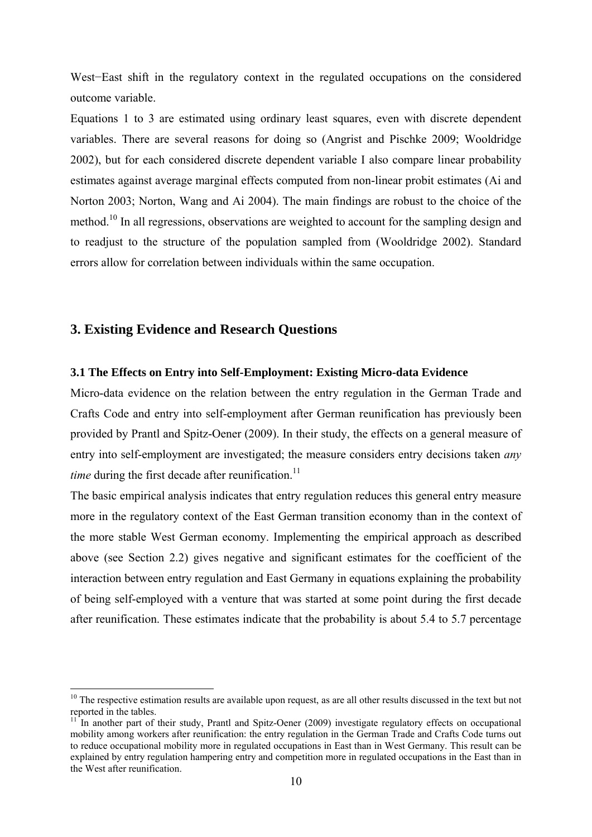West−East shift in the regulatory context in the regulated occupations on the considered outcome variable.

Equations 1 to 3 are estimated using ordinary least squares, even with discrete dependent variables. There are several reasons for doing so (Angrist and Pischke 2009; Wooldridge 2002), but for each considered discrete dependent variable I also compare linear probability estimates against average marginal effects computed from non-linear probit estimates (Ai and Norton 2003; Norton, Wang and Ai 2004). The main findings are robust to the choice of the method.<sup>10</sup> In all regressions, observations are weighted to account for the sampling design and to readjust to the structure of the population sampled from (Wooldridge 2002). Standard errors allow for correlation between individuals within the same occupation.

# **3. Existing Evidence and Research Questions**

1

#### **3.1 The Effects on Entry into Self-Employment: Existing Micro-data Evidence**

Micro-data evidence on the relation between the entry regulation in the German Trade and Crafts Code and entry into self-employment after German reunification has previously been provided by Prantl and Spitz-Oener (2009). In their study, the effects on a general measure of entry into self-employment are investigated; the measure considers entry decisions taken *any time* during the first decade after reunification.<sup>11</sup>

The basic empirical analysis indicates that entry regulation reduces this general entry measure more in the regulatory context of the East German transition economy than in the context of the more stable West German economy. Implementing the empirical approach as described above (see Section 2.2) gives negative and significant estimates for the coefficient of the interaction between entry regulation and East Germany in equations explaining the probability of being self-employed with a venture that was started at some point during the first decade after reunification. These estimates indicate that the probability is about 5.4 to 5.7 percentage

 $10$  The respective estimation results are available upon request, as are all other results discussed in the text but not reported in the tables.

<sup>&</sup>lt;sup>11</sup> In another part of their study, Prantl and Spitz-Oener (2009) investigate regulatory effects on occupational mobility among workers after reunification: the entry regulation in the German Trade and Crafts Code turns out to reduce occupational mobility more in regulated occupations in East than in West Germany. This result can be explained by entry regulation hampering entry and competition more in regulated occupations in the East than in the West after reunification.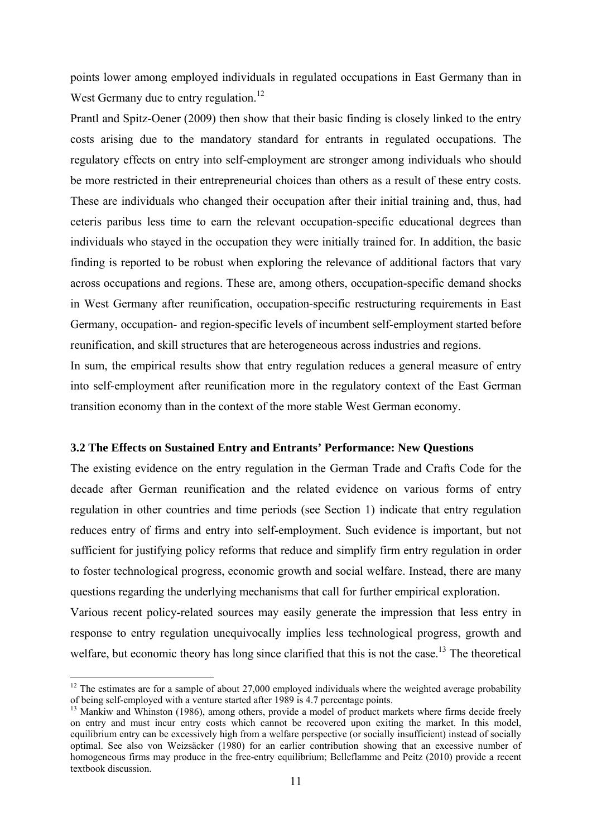points lower among employed individuals in regulated occupations in East Germany than in West Germany due to entry regulation.<sup>12</sup>

Prantl and Spitz-Oener (2009) then show that their basic finding is closely linked to the entry costs arising due to the mandatory standard for entrants in regulated occupations. The regulatory effects on entry into self-employment are stronger among individuals who should be more restricted in their entrepreneurial choices than others as a result of these entry costs. These are individuals who changed their occupation after their initial training and, thus, had ceteris paribus less time to earn the relevant occupation-specific educational degrees than individuals who stayed in the occupation they were initially trained for. In addition, the basic finding is reported to be robust when exploring the relevance of additional factors that vary across occupations and regions. These are, among others, occupation-specific demand shocks in West Germany after reunification, occupation-specific restructuring requirements in East Germany, occupation- and region-specific levels of incumbent self-employment started before reunification, and skill structures that are heterogeneous across industries and regions.

In sum, the empirical results show that entry regulation reduces a general measure of entry into self-employment after reunification more in the regulatory context of the East German transition economy than in the context of the more stable West German economy.

# **3.2 The Effects on Sustained Entry and Entrants' Performance: New Questions**

The existing evidence on the entry regulation in the German Trade and Crafts Code for the decade after German reunification and the related evidence on various forms of entry regulation in other countries and time periods (see Section 1) indicate that entry regulation reduces entry of firms and entry into self-employment. Such evidence is important, but not sufficient for justifying policy reforms that reduce and simplify firm entry regulation in order to foster technological progress, economic growth and social welfare. Instead, there are many questions regarding the underlying mechanisms that call for further empirical exploration.

Various recent policy-related sources may easily generate the impression that less entry in response to entry regulation unequivocally implies less technological progress, growth and welfare, but economic theory has long since clarified that this is not the case.<sup>13</sup> The theoretical

<u>.</u>

 $12$  The estimates are for a sample of about 27,000 employed individuals where the weighted average probability of being self-employed with a venture started after 1989 is 4.7 percentage points.

<sup>&</sup>lt;sup>13</sup> Mankiw and Whinston (1986), among others, provide a model of product markets where firms decide freely on entry and must incur entry costs which cannot be recovered upon exiting the market. In this model, equilibrium entry can be excessively high from a welfare perspective (or socially insufficient) instead of socially optimal. See also von Weizsäcker (1980) for an earlier contribution showing that an excessive number of homogeneous firms may produce in the free-entry equilibrium; Belleflamme and Peitz (2010) provide a recent textbook discussion.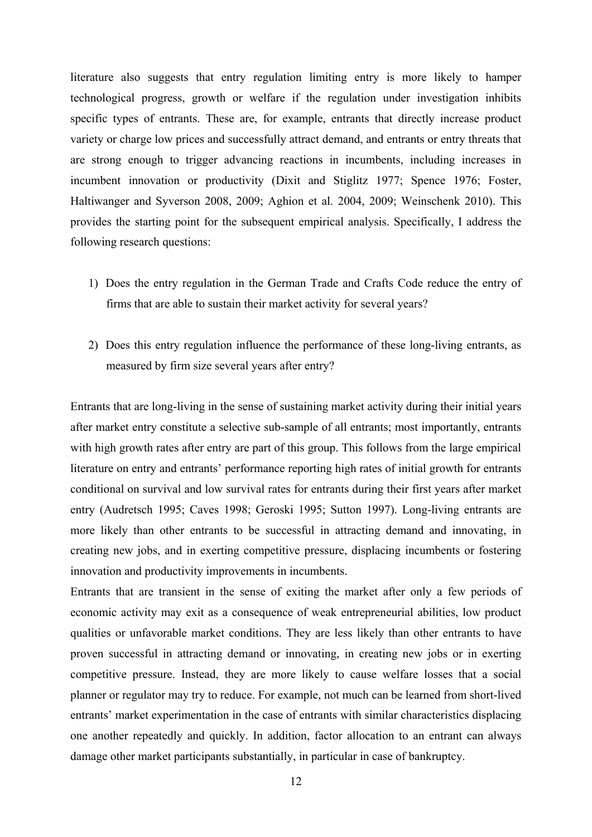literature also suggests that entry regulation limiting entry is more likely to hamper technological progress, growth or welfare if the regulation under investigation inhibits specific types of entrants. These are, for example, entrants that directly increase product variety or charge low prices and successfully attract demand, and entrants or entry threats that are strong enough to trigger advancing reactions in incumbents, including increases in incumbent innovation or productivity (Dixit and Stiglitz 1977; Spence 1976; Foster, Haltiwanger and Syverson 2008, 2009; Aghion et al. 2004, 2009; Weinschenk 2010). This provides the starting point for the subsequent empirical analysis. Specifically, I address the following research questions:

- 1) Does the entry regulation in the German Trade and Crafts Code reduce the entry of firms that are able to sustain their market activity for several years?
- 2) Does this entry regulation influence the performance of these long-living entrants, as measured by firm size several years after entry?

Entrants that are long-living in the sense of sustaining market activity during their initial years after market entry constitute a selective sub-sample of all entrants; most importantly, entrants with high growth rates after entry are part of this group. This follows from the large empirical literature on entry and entrants' performance reporting high rates of initial growth for entrants conditional on survival and low survival rates for entrants during their first years after market entry (Audretsch 1995; Caves 1998; Geroski 1995; Sutton 1997). Long-living entrants are more likely than other entrants to be successful in attracting demand and innovating, in creating new jobs, and in exerting competitive pressure, displacing incumbents or fostering innovation and productivity improvements in incumbents.

Entrants that are transient in the sense of exiting the market after only a few periods of economic activity may exit as a consequence of weak entrepreneurial abilities, low product qualities or unfavorable market conditions. They are less likely than other entrants to have proven successful in attracting demand or innovating, in creating new jobs or in exerting competitive pressure. Instead, they are more likely to cause welfare losses that a social planner or regulator may try to reduce. For example, not much can be learned from short-lived entrants' market experimentation in the case of entrants with similar characteristics displacing one another repeatedly and quickly. In addition, factor allocation to an entrant can always damage other market participants substantially, in particular in case of bankruptcy.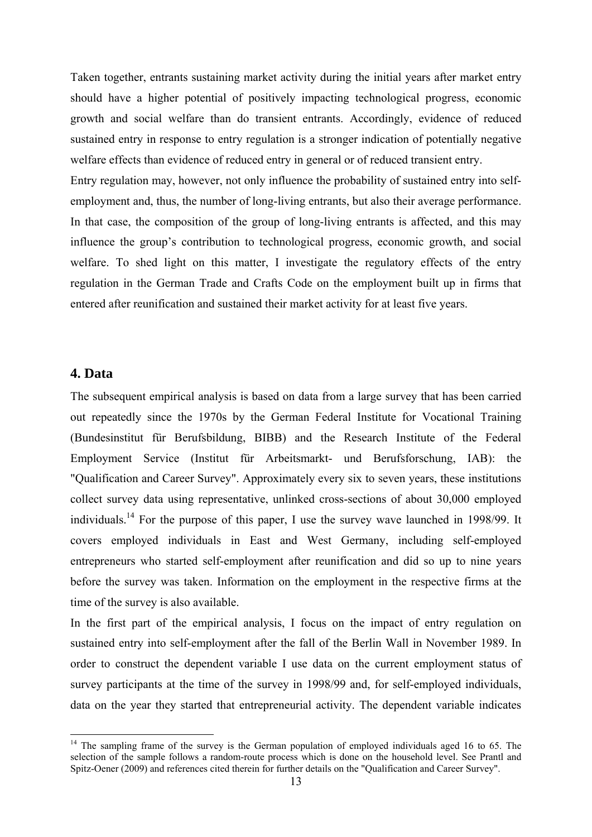Taken together, entrants sustaining market activity during the initial years after market entry should have a higher potential of positively impacting technological progress, economic growth and social welfare than do transient entrants. Accordingly, evidence of reduced sustained entry in response to entry regulation is a stronger indication of potentially negative welfare effects than evidence of reduced entry in general or of reduced transient entry.

Entry regulation may, however, not only influence the probability of sustained entry into selfemployment and, thus, the number of long-living entrants, but also their average performance. In that case, the composition of the group of long-living entrants is affected, and this may influence the group's contribution to technological progress, economic growth, and social welfare. To shed light on this matter, I investigate the regulatory effects of the entry regulation in the German Trade and Crafts Code on the employment built up in firms that entered after reunification and sustained their market activity for at least five years.

# **4. Data**

1

The subsequent empirical analysis is based on data from a large survey that has been carried out repeatedly since the 1970s by the German Federal Institute for Vocational Training (Bundesinstitut für Berufsbildung, BIBB) and the Research Institute of the Federal Employment Service (Institut für Arbeitsmarkt- und Berufsforschung, IAB): the "Qualification and Career Survey". Approximately every six to seven years, these institutions collect survey data using representative, unlinked cross-sections of about 30,000 employed individuals.14 For the purpose of this paper, I use the survey wave launched in 1998/99. It covers employed individuals in East and West Germany, including self-employed entrepreneurs who started self-employment after reunification and did so up to nine years before the survey was taken. Information on the employment in the respective firms at the time of the survey is also available.

In the first part of the empirical analysis, I focus on the impact of entry regulation on sustained entry into self-employment after the fall of the Berlin Wall in November 1989. In order to construct the dependent variable I use data on the current employment status of survey participants at the time of the survey in 1998/99 and, for self-employed individuals, data on the year they started that entrepreneurial activity. The dependent variable indicates

<sup>&</sup>lt;sup>14</sup> The sampling frame of the survey is the German population of employed individuals aged 16 to 65. The selection of the sample follows a random-route process which is done on the household level. See Prantl and Spitz-Oener (2009) and references cited therein for further details on the "Qualification and Career Survey".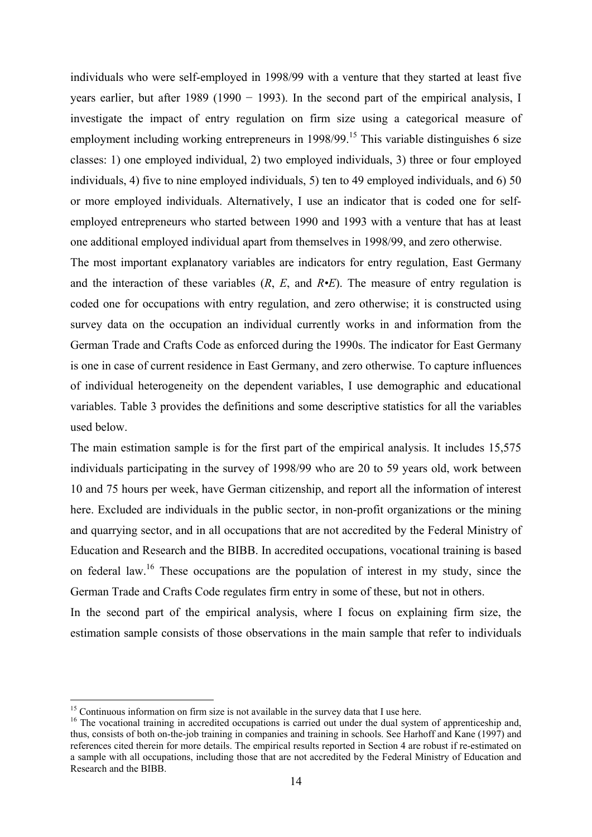individuals who were self-employed in 1998/99 with a venture that they started at least five years earlier, but after 1989 (1990 − 1993). In the second part of the empirical analysis, I investigate the impact of entry regulation on firm size using a categorical measure of employment including working entrepreneurs in 1998/99.<sup>15</sup> This variable distinguishes 6 size classes: 1) one employed individual, 2) two employed individuals, 3) three or four employed individuals, 4) five to nine employed individuals, 5) ten to 49 employed individuals, and 6) 50 or more employed individuals. Alternatively, I use an indicator that is coded one for selfemployed entrepreneurs who started between 1990 and 1993 with a venture that has at least one additional employed individual apart from themselves in 1998/99, and zero otherwise.

The most important explanatory variables are indicators for entry regulation, East Germany and the interaction of these variables  $(R, E, \text{ and } R \cdot E)$ . The measure of entry regulation is coded one for occupations with entry regulation, and zero otherwise; it is constructed using survey data on the occupation an individual currently works in and information from the German Trade and Crafts Code as enforced during the 1990s. The indicator for East Germany is one in case of current residence in East Germany, and zero otherwise. To capture influences of individual heterogeneity on the dependent variables, I use demographic and educational variables. Table 3 provides the definitions and some descriptive statistics for all the variables used below.

The main estimation sample is for the first part of the empirical analysis. It includes 15,575 individuals participating in the survey of 1998/99 who are 20 to 59 years old, work between 10 and 75 hours per week, have German citizenship, and report all the information of interest here. Excluded are individuals in the public sector, in non-profit organizations or the mining and quarrying sector, and in all occupations that are not accredited by the Federal Ministry of Education and Research and the BIBB. In accredited occupations, vocational training is based on federal law.16 These occupations are the population of interest in my study, since the German Trade and Crafts Code regulates firm entry in some of these, but not in others.

In the second part of the empirical analysis, where I focus on explaining firm size, the estimation sample consists of those observations in the main sample that refer to individuals

1

<sup>&</sup>lt;sup>15</sup> Continuous information on firm size is not available in the survey data that I use here.

<sup>&</sup>lt;sup>16</sup> The vocational training in accredited occupations is carried out under the dual system of apprenticeship and, thus, consists of both on-the-job training in companies and training in schools. See Harhoff and Kane (1997) and references cited therein for more details. The empirical results reported in Section 4 are robust if re-estimated on a sample with all occupations, including those that are not accredited by the Federal Ministry of Education and Research and the BIBB.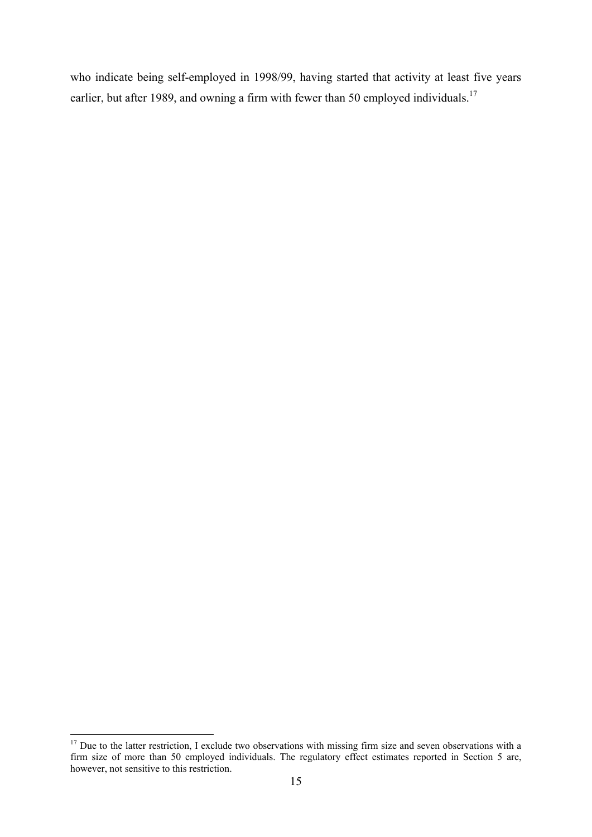who indicate being self-employed in 1998/99, having started that activity at least five years earlier, but after 1989, and owning a firm with fewer than 50 employed individuals.<sup>17</sup>

<sup>1</sup>  $17$  Due to the latter restriction, I exclude two observations with missing firm size and seven observations with a firm size of more than 50 employed individuals. The regulatory effect estimates reported in Section 5 are, however, not sensitive to this restriction.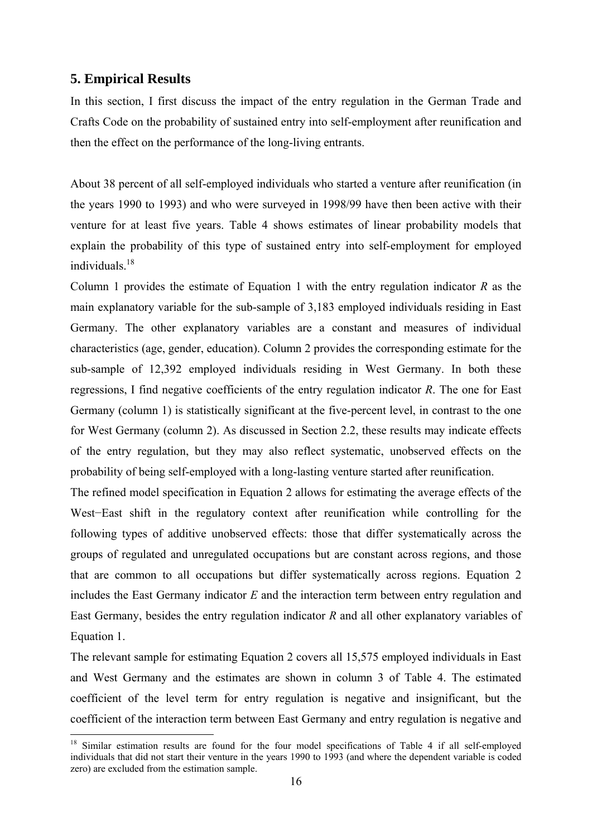# **5. Empirical Results**

1

In this section, I first discuss the impact of the entry regulation in the German Trade and Crafts Code on the probability of sustained entry into self-employment after reunification and then the effect on the performance of the long-living entrants.

About 38 percent of all self-employed individuals who started a venture after reunification (in the years 1990 to 1993) and who were surveyed in 1998/99 have then been active with their venture for at least five years. Table 4 shows estimates of linear probability models that explain the probability of this type of sustained entry into self-employment for employed individuals<sup>18</sup>

Column 1 provides the estimate of Equation 1 with the entry regulation indicator *R* as the main explanatory variable for the sub-sample of 3,183 employed individuals residing in East Germany. The other explanatory variables are a constant and measures of individual characteristics (age, gender, education). Column 2 provides the corresponding estimate for the sub-sample of 12,392 employed individuals residing in West Germany. In both these regressions, I find negative coefficients of the entry regulation indicator *R*. The one for East Germany (column 1) is statistically significant at the five-percent level, in contrast to the one for West Germany (column 2). As discussed in Section 2.2, these results may indicate effects of the entry regulation, but they may also reflect systematic, unobserved effects on the probability of being self-employed with a long-lasting venture started after reunification.

The refined model specification in Equation 2 allows for estimating the average effects of the West−East shift in the regulatory context after reunification while controlling for the following types of additive unobserved effects: those that differ systematically across the groups of regulated and unregulated occupations but are constant across regions, and those that are common to all occupations but differ systematically across regions. Equation 2 includes the East Germany indicator *E* and the interaction term between entry regulation and East Germany, besides the entry regulation indicator *R* and all other explanatory variables of Equation 1.

The relevant sample for estimating Equation 2 covers all 15,575 employed individuals in East and West Germany and the estimates are shown in column 3 of Table 4. The estimated coefficient of the level term for entry regulation is negative and insignificant, but the coefficient of the interaction term between East Germany and entry regulation is negative and

<sup>&</sup>lt;sup>18</sup> Similar estimation results are found for the four model specifications of Table 4 if all self-employed individuals that did not start their venture in the years 1990 to 1993 (and where the dependent variable is coded zero) are excluded from the estimation sample.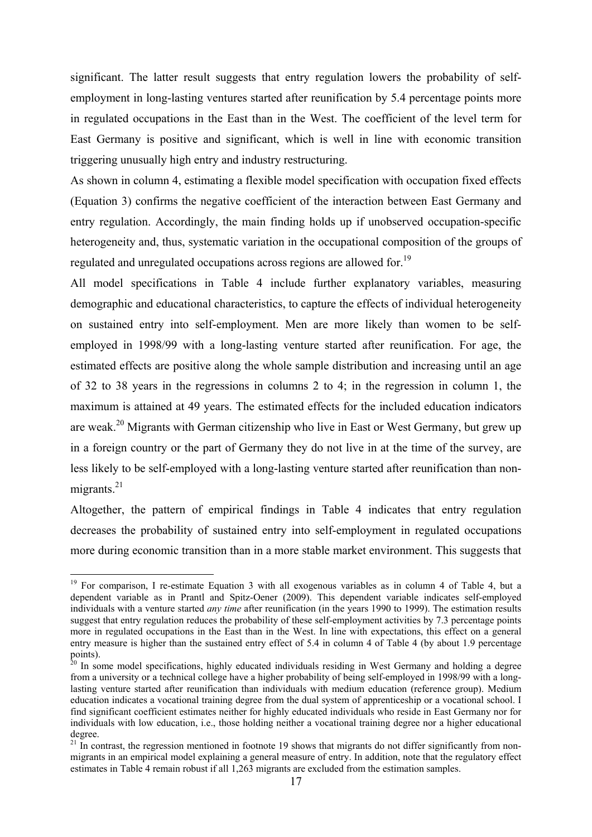significant. The latter result suggests that entry regulation lowers the probability of selfemployment in long-lasting ventures started after reunification by 5.4 percentage points more in regulated occupations in the East than in the West. The coefficient of the level term for East Germany is positive and significant, which is well in line with economic transition triggering unusually high entry and industry restructuring.

As shown in column 4, estimating a flexible model specification with occupation fixed effects (Equation 3) confirms the negative coefficient of the interaction between East Germany and entry regulation. Accordingly, the main finding holds up if unobserved occupation-specific heterogeneity and, thus, systematic variation in the occupational composition of the groups of regulated and unregulated occupations across regions are allowed for.19

All model specifications in Table 4 include further explanatory variables, measuring demographic and educational characteristics, to capture the effects of individual heterogeneity on sustained entry into self-employment. Men are more likely than women to be selfemployed in 1998/99 with a long-lasting venture started after reunification. For age, the estimated effects are positive along the whole sample distribution and increasing until an age of 32 to 38 years in the regressions in columns 2 to 4; in the regression in column 1, the maximum is attained at 49 years. The estimated effects for the included education indicators are weak.<sup>20</sup> Migrants with German citizenship who live in East or West Germany, but grew up in a foreign country or the part of Germany they do not live in at the time of the survey, are less likely to be self-employed with a long-lasting venture started after reunification than nonmigrants. $^{21}$ 

Altogether, the pattern of empirical findings in Table 4 indicates that entry regulation decreases the probability of sustained entry into self-employment in regulated occupations more during economic transition than in a more stable market environment. This suggests that

<u>.</u>

<sup>&</sup>lt;sup>19</sup> For comparison, I re-estimate Equation 3 with all exogenous variables as in column 4 of Table 4, but a dependent variable as in Prantl and Spitz-Oener (2009). This dependent variable indicates self-employed individuals with a venture started *any time* after reunification (in the years 1990 to 1999). The estimation results suggest that entry regulation reduces the probability of these self-employment activities by 7.3 percentage points more in regulated occupations in the East than in the West. In line with expectations, this effect on a general entry measure is higher than the sustained entry effect of 5.4 in column 4 of Table 4 (by about 1.9 percentage points).

 $20$  In some model specifications, highly educated individuals residing in West Germany and holding a degree from a university or a technical college have a higher probability of being self-employed in 1998/99 with a longlasting venture started after reunification than individuals with medium education (reference group). Medium education indicates a vocational training degree from the dual system of apprenticeship or a vocational school. I find significant coefficient estimates neither for highly educated individuals who reside in East Germany nor for individuals with low education, i.e., those holding neither a vocational training degree nor a higher educational degree.

 $21$  In contrast, the regression mentioned in footnote 19 shows that migrants do not differ significantly from nonmigrants in an empirical model explaining a general measure of entry. In addition, note that the regulatory effect estimates in Table 4 remain robust if all 1,263 migrants are excluded from the estimation samples.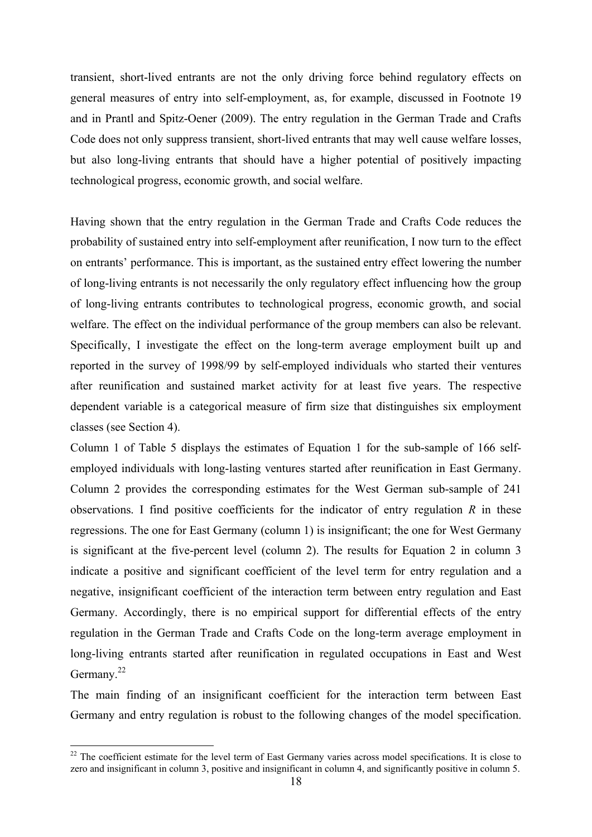transient, short-lived entrants are not the only driving force behind regulatory effects on general measures of entry into self-employment, as, for example, discussed in Footnote 19 and in Prantl and Spitz-Oener (2009). The entry regulation in the German Trade and Crafts Code does not only suppress transient, short-lived entrants that may well cause welfare losses, but also long-living entrants that should have a higher potential of positively impacting technological progress, economic growth, and social welfare.

Having shown that the entry regulation in the German Trade and Crafts Code reduces the probability of sustained entry into self-employment after reunification, I now turn to the effect on entrants' performance. This is important, as the sustained entry effect lowering the number of long-living entrants is not necessarily the only regulatory effect influencing how the group of long-living entrants contributes to technological progress, economic growth, and social welfare. The effect on the individual performance of the group members can also be relevant. Specifically, I investigate the effect on the long-term average employment built up and reported in the survey of 1998/99 by self-employed individuals who started their ventures after reunification and sustained market activity for at least five years. The respective dependent variable is a categorical measure of firm size that distinguishes six employment classes (see Section 4).

Column 1 of Table 5 displays the estimates of Equation 1 for the sub-sample of 166 selfemployed individuals with long-lasting ventures started after reunification in East Germany. Column 2 provides the corresponding estimates for the West German sub-sample of 241 observations. I find positive coefficients for the indicator of entry regulation *R* in these regressions. The one for East Germany (column 1) is insignificant; the one for West Germany is significant at the five-percent level (column 2). The results for Equation 2 in column 3 indicate a positive and significant coefficient of the level term for entry regulation and a negative, insignificant coefficient of the interaction term between entry regulation and East Germany. Accordingly, there is no empirical support for differential effects of the entry regulation in the German Trade and Crafts Code on the long-term average employment in long-living entrants started after reunification in regulated occupations in East and West Germany.<sup>22</sup>

The main finding of an insignificant coefficient for the interaction term between East Germany and entry regulation is robust to the following changes of the model specification.

<u>.</u>

 $22$  The coefficient estimate for the level term of East Germany varies across model specifications. It is close to zero and insignificant in column 3, positive and insignificant in column 4, and significantly positive in column 5.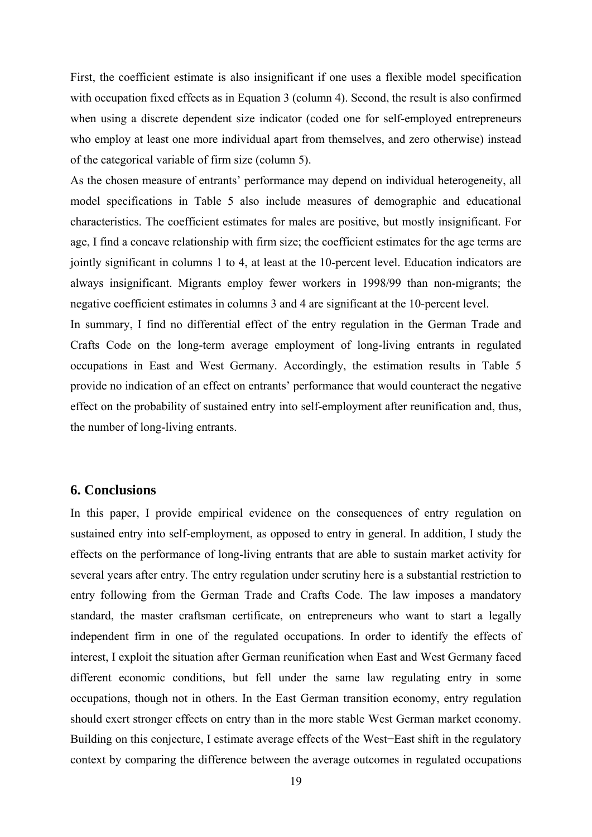First, the coefficient estimate is also insignificant if one uses a flexible model specification with occupation fixed effects as in Equation 3 (column 4). Second, the result is also confirmed when using a discrete dependent size indicator (coded one for self-employed entrepreneurs who employ at least one more individual apart from themselves, and zero otherwise) instead of the categorical variable of firm size (column 5).

As the chosen measure of entrants' performance may depend on individual heterogeneity, all model specifications in Table 5 also include measures of demographic and educational characteristics. The coefficient estimates for males are positive, but mostly insignificant. For age, I find a concave relationship with firm size; the coefficient estimates for the age terms are jointly significant in columns 1 to 4, at least at the 10-percent level. Education indicators are always insignificant. Migrants employ fewer workers in 1998/99 than non-migrants; the negative coefficient estimates in columns 3 and 4 are significant at the 10-percent level.

In summary, I find no differential effect of the entry regulation in the German Trade and Crafts Code on the long-term average employment of long-living entrants in regulated occupations in East and West Germany. Accordingly, the estimation results in Table 5 provide no indication of an effect on entrants' performance that would counteract the negative effect on the probability of sustained entry into self-employment after reunification and, thus, the number of long-living entrants.

# **6. Conclusions**

In this paper, I provide empirical evidence on the consequences of entry regulation on sustained entry into self-employment, as opposed to entry in general. In addition, I study the effects on the performance of long-living entrants that are able to sustain market activity for several years after entry. The entry regulation under scrutiny here is a substantial restriction to entry following from the German Trade and Crafts Code. The law imposes a mandatory standard, the master craftsman certificate, on entrepreneurs who want to start a legally independent firm in one of the regulated occupations. In order to identify the effects of interest, I exploit the situation after German reunification when East and West Germany faced different economic conditions, but fell under the same law regulating entry in some occupations, though not in others. In the East German transition economy, entry regulation should exert stronger effects on entry than in the more stable West German market economy. Building on this conjecture, I estimate average effects of the West−East shift in the regulatory context by comparing the difference between the average outcomes in regulated occupations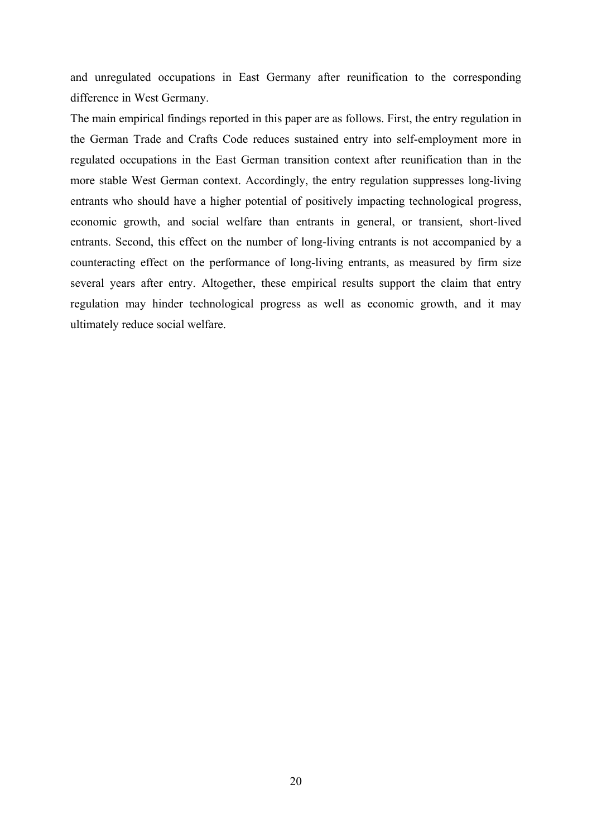and unregulated occupations in East Germany after reunification to the corresponding difference in West Germany.

The main empirical findings reported in this paper are as follows. First, the entry regulation in the German Trade and Crafts Code reduces sustained entry into self-employment more in regulated occupations in the East German transition context after reunification than in the more stable West German context. Accordingly, the entry regulation suppresses long-living entrants who should have a higher potential of positively impacting technological progress, economic growth, and social welfare than entrants in general, or transient, short-lived entrants. Second, this effect on the number of long-living entrants is not accompanied by a counteracting effect on the performance of long-living entrants, as measured by firm size several years after entry. Altogether, these empirical results support the claim that entry regulation may hinder technological progress as well as economic growth, and it may ultimately reduce social welfare.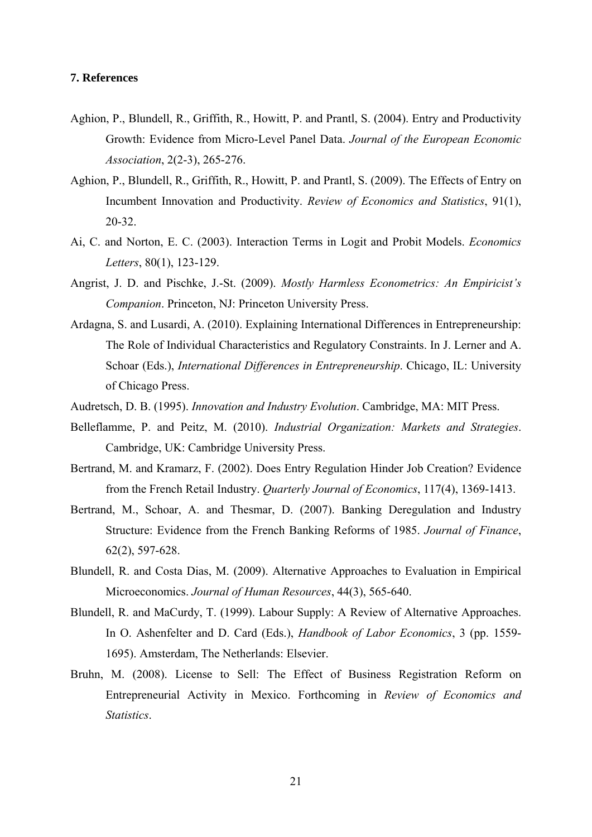### **7. References**

- Aghion, P., Blundell, R., Griffith, R., Howitt, P. and Prantl, S. (2004). Entry and Productivity Growth: Evidence from Micro-Level Panel Data. *Journal of the European Economic Association*, 2(2-3), 265-276.
- Aghion, P., Blundell, R., Griffith, R., Howitt, P. and Prantl, S. (2009). The Effects of Entry on Incumbent Innovation and Productivity. *Review of Economics and Statistics*, 91(1), 20-32.
- Ai, C. and Norton, E. C. (2003). Interaction Terms in Logit and Probit Models. *Economics Letters*, 80(1), 123-129.
- Angrist, J. D. and Pischke, J.-St. (2009). *Mostly Harmless Econometrics: An Empiricist's Companion*. Princeton, NJ: Princeton University Press.
- Ardagna, S. and Lusardi, A. (2010). Explaining International Differences in Entrepreneurship: The Role of Individual Characteristics and Regulatory Constraints. In J. Lerner and A. Schoar (Eds.), *International Differences in Entrepreneurship*. Chicago, IL: University of Chicago Press.
- Audretsch, D. B. (1995). *Innovation and Industry Evolution*. Cambridge, MA: MIT Press.
- Belleflamme, P. and Peitz, M. (2010). *Industrial Organization: Markets and Strategies*. Cambridge, UK: Cambridge University Press.
- Bertrand, M. and Kramarz, F. (2002). Does Entry Regulation Hinder Job Creation? Evidence from the French Retail Industry. *Quarterly Journal of Economics*, 117(4), 1369-1413.
- Bertrand, M., Schoar, A. and Thesmar, D. (2007). Banking Deregulation and Industry Structure: Evidence from the French Banking Reforms of 1985. *Journal of Finance*, 62(2), 597-628.
- Blundell, R. and Costa Dias, M. (2009). Alternative Approaches to Evaluation in Empirical Microeconomics. *Journal of Human Resources*, 44(3), 565-640.
- Blundell, R. and MaCurdy, T. (1999). Labour Supply: A Review of Alternative Approaches. In O. Ashenfelter and D. Card (Eds.), *Handbook of Labor Economics*, 3 (pp. 1559- 1695). Amsterdam, The Netherlands: Elsevier.
- Bruhn, M. (2008). License to Sell: The Effect of Business Registration Reform on Entrepreneurial Activity in Mexico. Forthcoming in *Review of Economics and Statistics*.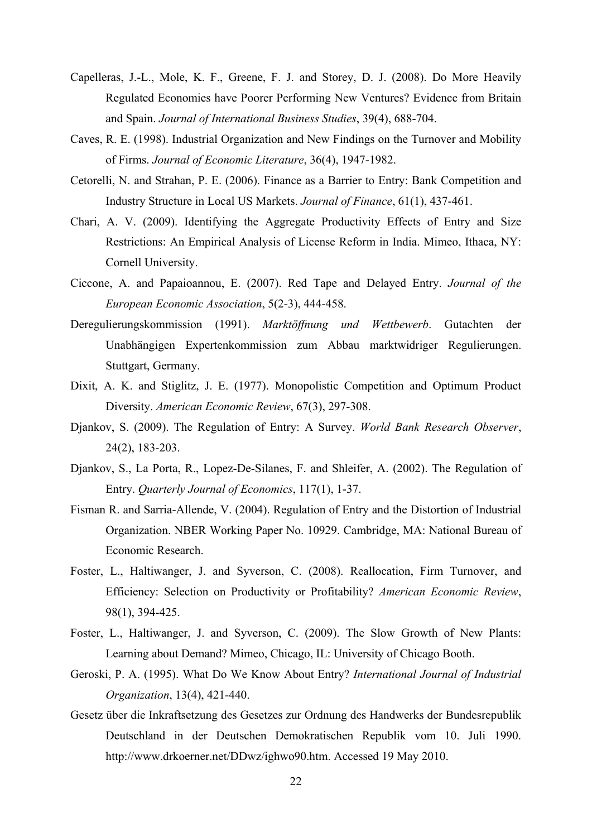- Capelleras, J.-L., Mole, K. F., Greene, F. J. and Storey, D. J. (2008). Do More Heavily Regulated Economies have Poorer Performing New Ventures? Evidence from Britain and Spain. *Journal of International Business Studies*, 39(4), 688-704.
- Caves, R. E. (1998). Industrial Organization and New Findings on the Turnover and Mobility of Firms. *Journal of Economic Literature*, 36(4), 1947-1982.
- Cetorelli, N. and Strahan, P. E. (2006). Finance as a Barrier to Entry: Bank Competition and Industry Structure in Local US Markets. *Journal of Finance*, 61(1), 437-461.
- Chari, A. V. (2009). Identifying the Aggregate Productivity Effects of Entry and Size Restrictions: An Empirical Analysis of License Reform in India. Mimeo, Ithaca, NY: Cornell University.
- Ciccone, A. and Papaioannou, E. (2007). Red Tape and Delayed Entry. *Journal of the European Economic Association*, 5(2-3), 444-458.
- Deregulierungskommission (1991). *Marktöffnung und Wettbewerb*. Gutachten der Unabhängigen Expertenkommission zum Abbau marktwidriger Regulierungen. Stuttgart, Germany.
- Dixit, A. K. and Stiglitz, J. E. (1977). Monopolistic Competition and Optimum Product Diversity. *American Economic Review*, 67(3), 297-308.
- Djankov, S. (2009). The Regulation of Entry: A Survey. *World Bank Research Observer*, 24(2), 183-203.
- Djankov, S., La Porta, R., Lopez-De-Silanes, F. and Shleifer, A. (2002). The Regulation of Entry. *Quarterly Journal of Economics*, 117(1), 1-37.
- Fisman R. and Sarria-Allende, V. (2004). Regulation of Entry and the Distortion of Industrial Organization. NBER Working Paper No. 10929. Cambridge, MA: National Bureau of Economic Research.
- Foster, L., Haltiwanger, J. and Syverson, C. (2008). Reallocation, Firm Turnover, and Efficiency: Selection on Productivity or Profitability? *American Economic Review*, 98(1), 394-425.
- Foster, L., Haltiwanger, J. and Syverson, C. (2009). The Slow Growth of New Plants: Learning about Demand? Mimeo, Chicago, IL: University of Chicago Booth.
- Geroski, P. A. (1995). What Do We Know About Entry? *International Journal of Industrial Organization*, 13(4), 421-440.
- Gesetz über die Inkraftsetzung des Gesetzes zur Ordnung des Handwerks der Bundesrepublik Deutschland in der Deutschen Demokratischen Republik vom 10. Juli 1990. http://www.drkoerner.net/DDwz/ighwo90.htm. Accessed 19 May 2010.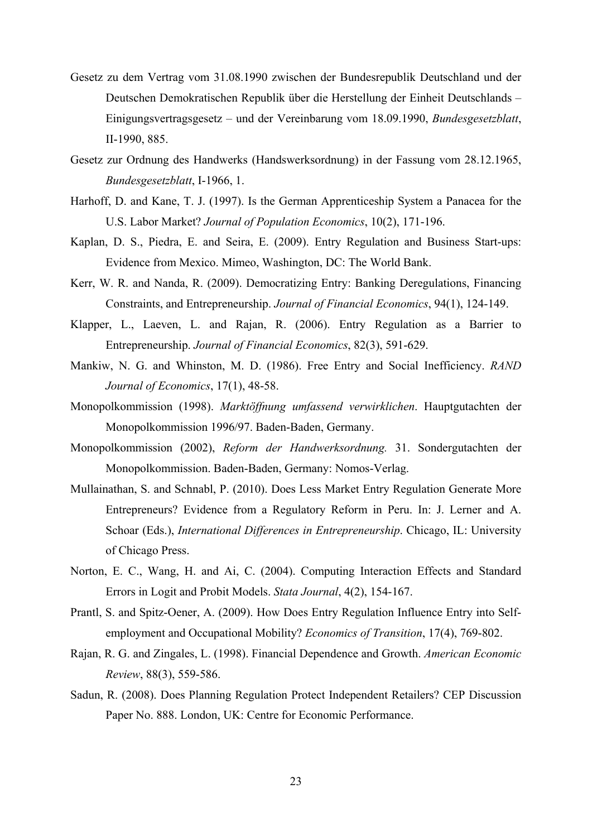- Gesetz zu dem Vertrag vom 31.08.1990 zwischen der Bundesrepublik Deutschland und der Deutschen Demokratischen Republik über die Herstellung der Einheit Deutschlands – Einigungsvertragsgesetz – und der Vereinbarung vom 18.09.1990, *Bundesgesetzblatt*, II-1990, 885.
- Gesetz zur Ordnung des Handwerks (Handswerksordnung) in der Fassung vom 28.12.1965, *Bundesgesetzblatt*, I-1966, 1.
- Harhoff, D. and Kane, T. J. (1997). Is the German Apprenticeship System a Panacea for the U.S. Labor Market? *Journal of Population Economics*, 10(2), 171-196.
- Kaplan, D. S., Piedra, E. and Seira, E. (2009). Entry Regulation and Business Start-ups: Evidence from Mexico. Mimeo, Washington, DC: The World Bank.
- Kerr, W. R. and Nanda, R. (2009). Democratizing Entry: Banking Deregulations, Financing Constraints, and Entrepreneurship. *Journal of Financial Economics*, 94(1), 124-149.
- Klapper, L., Laeven, L. and Rajan, R. (2006). Entry Regulation as a Barrier to Entrepreneurship. *Journal of Financial Economics*, 82(3), 591-629.
- Mankiw, N. G. and Whinston, M. D. (1986). Free Entry and Social Inefficiency. *RAND Journal of Economics*, 17(1), 48-58.
- Monopolkommission (1998). *Marktöffnung umfassend verwirklichen*. Hauptgutachten der Monopolkommission 1996/97. Baden-Baden, Germany.
- Monopolkommission (2002), *Reform der Handwerksordnung.* 31. Sondergutachten der Monopolkommission. Baden-Baden, Germany: Nomos-Verlag.
- Mullainathan, S. and Schnabl, P. (2010). Does Less Market Entry Regulation Generate More Entrepreneurs? Evidence from a Regulatory Reform in Peru. In: J. Lerner and A. Schoar (Eds.), *International Differences in Entrepreneurship*. Chicago, IL: University of Chicago Press.
- Norton, E. C., Wang, H. and Ai, C. (2004). Computing Interaction Effects and Standard Errors in Logit and Probit Models. *Stata Journal*, 4(2), 154-167.
- Prantl, S. and Spitz-Oener, A. (2009). How Does Entry Regulation Influence Entry into Selfemployment and Occupational Mobility? *Economics of Transition*, 17(4), 769-802.
- Rajan, R. G. and Zingales, L. (1998). Financial Dependence and Growth. *American Economic Review*, 88(3), 559-586.
- Sadun, R. (2008). Does Planning Regulation Protect Independent Retailers? CEP Discussion Paper No. 888. London, UK: Centre for Economic Performance.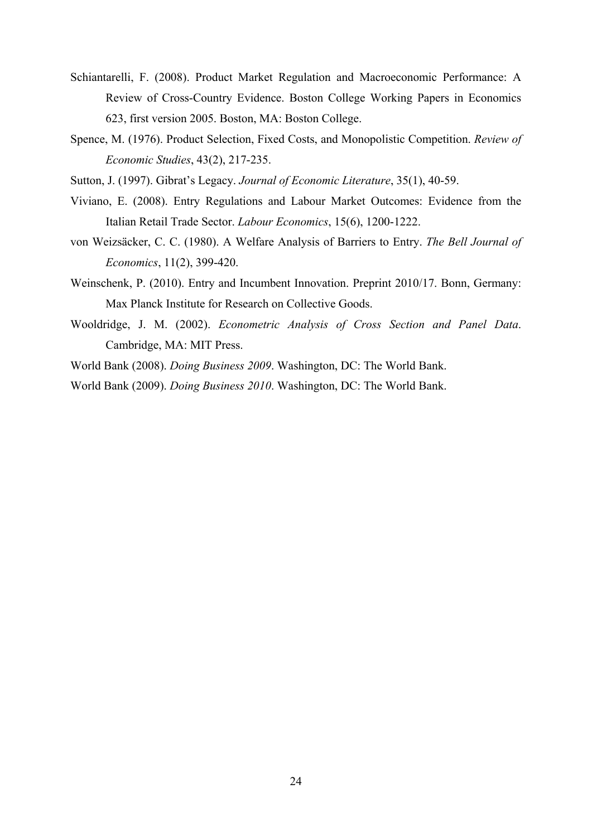- Schiantarelli, F. (2008). Product Market Regulation and Macroeconomic Performance: A Review of Cross-Country Evidence. Boston College Working Papers in Economics 623, first version 2005. Boston, MA: Boston College.
- Spence, M. (1976). Product Selection, Fixed Costs, and Monopolistic Competition. *Review of Economic Studies*, 43(2), 217-235.
- Sutton, J. (1997). Gibrat's Legacy. *Journal of Economic Literature*, 35(1), 40-59.
- Viviano, E. (2008). Entry Regulations and Labour Market Outcomes: Evidence from the Italian Retail Trade Sector. *Labour Economics*, 15(6), 1200-1222.
- von Weizsäcker, C. C. (1980). A Welfare Analysis of Barriers to Entry. *The Bell Journal of Economics*, 11(2), 399-420.
- Weinschenk, P. (2010). Entry and Incumbent Innovation. Preprint 2010/17. Bonn, Germany: Max Planck Institute for Research on Collective Goods.
- Wooldridge, J. M. (2002). *Econometric Analysis of Cross Section and Panel Data*. Cambridge, MA: MIT Press.
- World Bank (2008). *Doing Business 2009*. Washington, DC: The World Bank.
- World Bank (2009). *Doing Business 2010*. Washington, DC: The World Bank.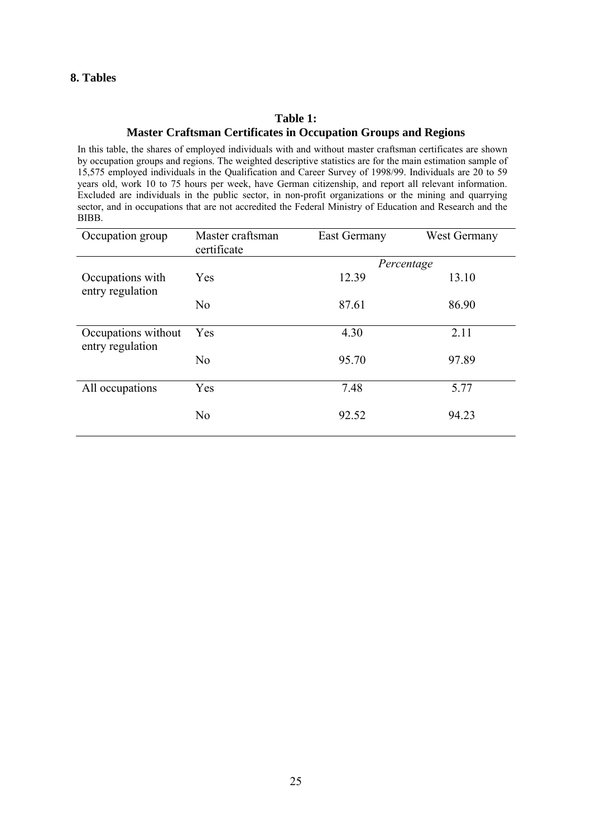# **8. Tables**

# **Table 1: Master Craftsman Certificates in Occupation Groups and Regions**

In this table, the shares of employed individuals with and without master craftsman certificates are shown by occupation groups and regions. The weighted descriptive statistics are for the main estimation sample of 15,575 employed individuals in the Qualification and Career Survey of 1998/99. Individuals are 20 to 59 years old, work 10 to 75 hours per week, have German citizenship, and report all relevant information. Excluded are individuals in the public sector, in non-profit organizations or the mining and quarrying sector, and in occupations that are not accredited the Federal Ministry of Education and Research and the BIBB.

| Master craftsman<br>certificate | <b>East Germany</b> | West Germany |  |
|---------------------------------|---------------------|--------------|--|
|                                 | Percentage          |              |  |
| Yes                             | 12.39               | 13.10        |  |
| N <sub>0</sub>                  | 87.61               | 86.90        |  |
| Yes                             | 4.30                | 2.11         |  |
| N <sub>0</sub>                  | 95.70               | 97.89        |  |
| Yes                             | 7.48                | 5.77         |  |
| N <sub>0</sub>                  | 92.52               | 94.23        |  |
|                                 |                     |              |  |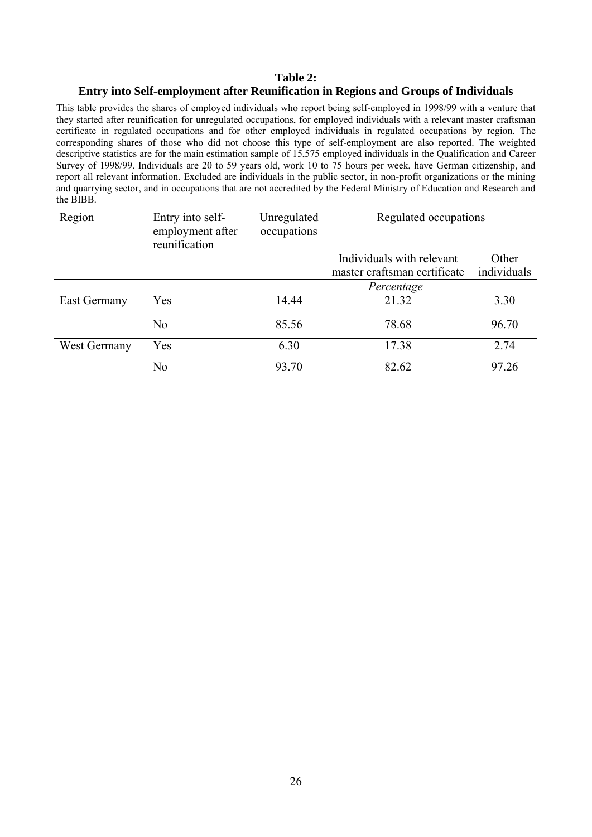# **Table 2:**

#### **Entry into Self-employment after Reunification in Regions and Groups of Individuals**

This table provides the shares of employed individuals who report being self-employed in 1998/99 with a venture that they started after reunification for unregulated occupations, for employed individuals with a relevant master craftsman certificate in regulated occupations and for other employed individuals in regulated occupations by region. The corresponding shares of those who did not choose this type of self-employment are also reported. The weighted descriptive statistics are for the main estimation sample of 15,575 employed individuals in the Qualification and Career Survey of 1998/99. Individuals are 20 to 59 years old, work 10 to 75 hours per week, have German citizenship, and report all relevant information. Excluded are individuals in the public sector, in non-profit organizations or the mining and quarrying sector, and in occupations that are not accredited by the Federal Ministry of Education and Research and the BIBB.

| Region       | Entry into self-<br>employment after<br>reunification | Unregulated<br>occupations | Regulated occupations        |             |
|--------------|-------------------------------------------------------|----------------------------|------------------------------|-------------|
|              |                                                       |                            | Individuals with relevant    | Other       |
|              |                                                       |                            | master craftsman certificate | individuals |
|              |                                                       |                            | Percentage                   |             |
| East Germany | Yes                                                   | 14.44                      | 21.32                        | 3.30        |
|              | N <sub>0</sub>                                        | 85.56                      | 78.68                        | 96.70       |
| West Germany | Yes                                                   | 6.30                       | 17.38                        | 2.74        |
|              | N <sub>0</sub>                                        | 93.70                      | 82.62                        | 97.26       |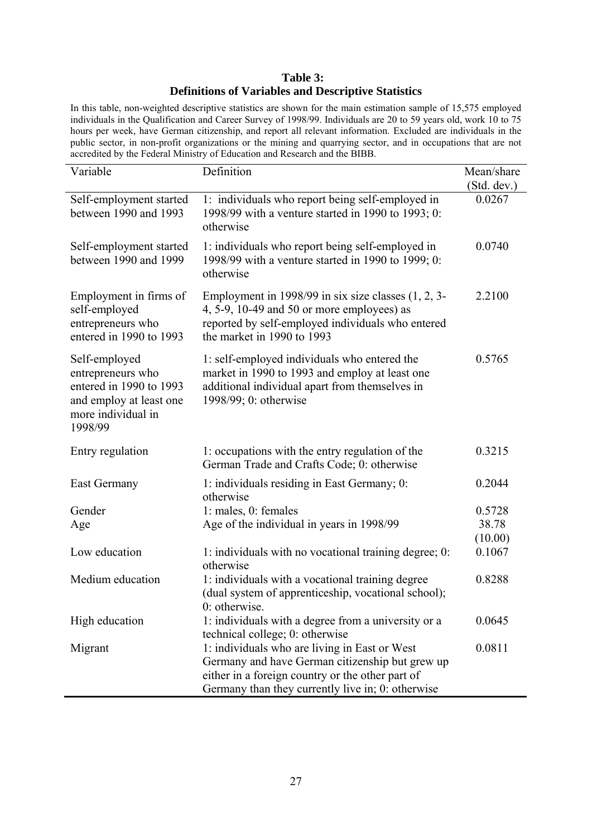# **Table 3: Definitions of Variables and Descriptive Statistics**

In this table, non-weighted descriptive statistics are shown for the main estimation sample of 15,575 employed individuals in the Qualification and Career Survey of 1998/99. Individuals are 20 to 59 years old, work 10 to 75 hours per week, have German citizenship, and report all relevant information. Excluded are individuals in the public sector, in non-profit organizations or the mining and quarrying sector, and in occupations that are not accredited by the Federal Ministry of Education and Research and the BIBB.

| Variable                                                                                                                  | Definition                                                                                                                                                                                                | Mean/share  |
|---------------------------------------------------------------------------------------------------------------------------|-----------------------------------------------------------------------------------------------------------------------------------------------------------------------------------------------------------|-------------|
|                                                                                                                           |                                                                                                                                                                                                           | (Std. dev.) |
| Self-employment started<br>between 1990 and 1993                                                                          | 1: individuals who report being self-employed in<br>1998/99 with a venture started in 1990 to 1993; 0:<br>otherwise                                                                                       | 0.0267      |
| Self-employment started<br>between 1990 and 1999                                                                          | 1: individuals who report being self-employed in<br>1998/99 with a venture started in 1990 to 1999; 0:<br>otherwise                                                                                       | 0.0740      |
| Employment in firms of<br>self-employed<br>entrepreneurs who<br>entered in 1990 to 1993                                   | Employment in 1998/99 in six size classes $(1, 2, 3-$<br>4, 5-9, 10-49 and 50 or more employees) as<br>reported by self-employed individuals who entered<br>the market in 1990 to 1993                    | 2.2100      |
| Self-employed<br>entrepreneurs who<br>entered in 1990 to 1993<br>and employ at least one<br>more individual in<br>1998/99 | 1: self-employed individuals who entered the<br>market in 1990 to 1993 and employ at least one<br>additional individual apart from themselves in<br>1998/99; 0: otherwise                                 | 0.5765      |
| Entry regulation                                                                                                          | 1: occupations with the entry regulation of the<br>German Trade and Crafts Code; 0: otherwise                                                                                                             | 0.3215      |
| <b>East Germany</b>                                                                                                       | 1: individuals residing in East Germany; 0:<br>otherwise                                                                                                                                                  | 0.2044      |
| Gender                                                                                                                    | 1: males, 0: females                                                                                                                                                                                      | 0.5728      |
| Age                                                                                                                       | Age of the individual in years in 1998/99                                                                                                                                                                 | 38.78       |
|                                                                                                                           |                                                                                                                                                                                                           | (10.00)     |
| Low education                                                                                                             | 1: individuals with no vocational training degree; 0:<br>otherwise                                                                                                                                        | 0.1067      |
| Medium education                                                                                                          | 1: individuals with a vocational training degree<br>(dual system of apprenticeship, vocational school);<br>$0$ : otherwise                                                                                | 0.8288      |
| High education                                                                                                            | 1: individuals with a degree from a university or a<br>technical college; 0: otherwise                                                                                                                    | 0.0645      |
| Migrant                                                                                                                   | 1: individuals who are living in East or West<br>Germany and have German citizenship but grew up<br>either in a foreign country or the other part of<br>Germany than they currently live in; 0: otherwise | 0.0811      |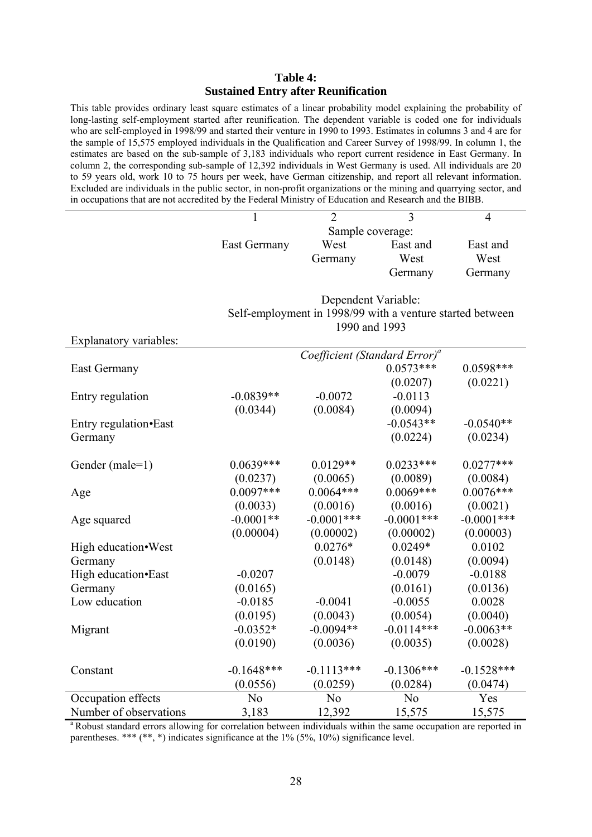# **Table 4: Sustained Entry after Reunification**

This table provides ordinary least square estimates of a linear probability model explaining the probability of long-lasting self-employment started after reunification. The dependent variable is coded one for individuals who are self-employed in 1998/99 and started their venture in 1990 to 1993. Estimates in columns 3 and 4 are for the sample of 15,575 employed individuals in the Qualification and Career Survey of 1998/99. In column 1, the estimates are based on the sub-sample of 3,183 individuals who report current residence in East Germany. In column 2, the corresponding sub-sample of 12,392 individuals in West Germany is used. All individuals are 20 to 59 years old, work 10 to 75 hours per week, have German citizenship, and report all relevant information. Excluded are individuals in the public sector, in non-profit organizations or the mining and quarrying sector, and in occupations that are not accredited by the Federal Ministry of Education and Research and the BIBB.

|                         | 1                   | $\overline{2}$                                            | 3              | $\overline{4}$ |  |
|-------------------------|---------------------|-----------------------------------------------------------|----------------|----------------|--|
|                         |                     | Sample coverage:                                          |                |                |  |
|                         | <b>East Germany</b> | West                                                      | East and       | East and       |  |
|                         |                     | Germany                                                   | West           | West           |  |
|                         |                     |                                                           | Germany        | Germany        |  |
|                         |                     |                                                           |                |                |  |
|                         |                     | Dependent Variable:                                       |                |                |  |
|                         |                     | Self-employment in 1998/99 with a venture started between |                |                |  |
|                         |                     | 1990 and 1993                                             |                |                |  |
| Explanatory variables:  |                     |                                                           |                |                |  |
|                         |                     | Coefficient (Standard Error) <sup>a</sup>                 |                |                |  |
| <b>East Germany</b>     |                     |                                                           | $0.0573***$    | $0.0598***$    |  |
|                         |                     |                                                           | (0.0207)       | (0.0221)       |  |
| Entry regulation        | $-0.0839**$         | $-0.0072$                                                 | $-0.0113$      |                |  |
|                         | (0.0344)            | (0.0084)                                                  | (0.0094)       |                |  |
| Entry regulation • East |                     |                                                           | $-0.0543**$    | $-0.0540**$    |  |
| Germany                 |                     |                                                           | (0.0224)       | (0.0234)       |  |
|                         |                     |                                                           |                |                |  |
| Gender (male=1)         | $0.0639***$         | $0.0129**$                                                | $0.0233***$    | $0.0277***$    |  |
|                         | (0.0237)            | (0.0065)                                                  | (0.0089)       | (0.0084)       |  |
| Age                     | $0.0097***$         | $0.0064***$                                               | $0.0069***$    | $0.0076***$    |  |
|                         | (0.0033)            | (0.0016)                                                  | (0.0016)       | (0.0021)       |  |
| Age squared             | $-0.0001**$         | $-0.0001$ ***                                             | $-0.0001$ ***  | $-0.0001$ ***  |  |
|                         | (0.00004)           | (0.00002)                                                 | (0.00002)      | (0.00003)      |  |
| High education•West     |                     | $0.0276*$                                                 | $0.0249*$      | 0.0102         |  |
| Germany                 |                     | (0.0148)                                                  | (0.0148)       | (0.0094)       |  |
| High education • East   | $-0.0207$           |                                                           | $-0.0079$      | $-0.0188$      |  |
| Germany                 | (0.0165)            |                                                           | (0.0161)       | (0.0136)       |  |
| Low education           | $-0.0185$           | $-0.0041$                                                 | $-0.0055$      | 0.0028         |  |
|                         | (0.0195)            | (0.0043)                                                  | (0.0054)       | (0.0040)       |  |
| Migrant                 | $-0.0352*$          | $-0.0094**$                                               | $-0.0114***$   | $-0.0063**$    |  |
|                         | (0.0190)            | (0.0036)                                                  | (0.0035)       | (0.0028)       |  |
| Constant                | $-0.1648***$        | $-0.1113***$                                              | $-0.1306***$   | $-0.1528***$   |  |
|                         | (0.0556)            | (0.0259)                                                  | (0.0284)       | (0.0474)       |  |
| Occupation effects      | N <sub>0</sub>      | N <sub>o</sub>                                            | N <sub>0</sub> | Yes            |  |
| Number of observations  | 3,183               | 12,392                                                    | 15,575         | 15,575         |  |
|                         |                     |                                                           |                |                |  |

<sup>a</sup> Robust standard errors allowing for correlation between individuals within the same occupation are reported in parentheses. \*\*\* (\*\*, \*) indicates significance at the 1% (5%, 10%) significance level.